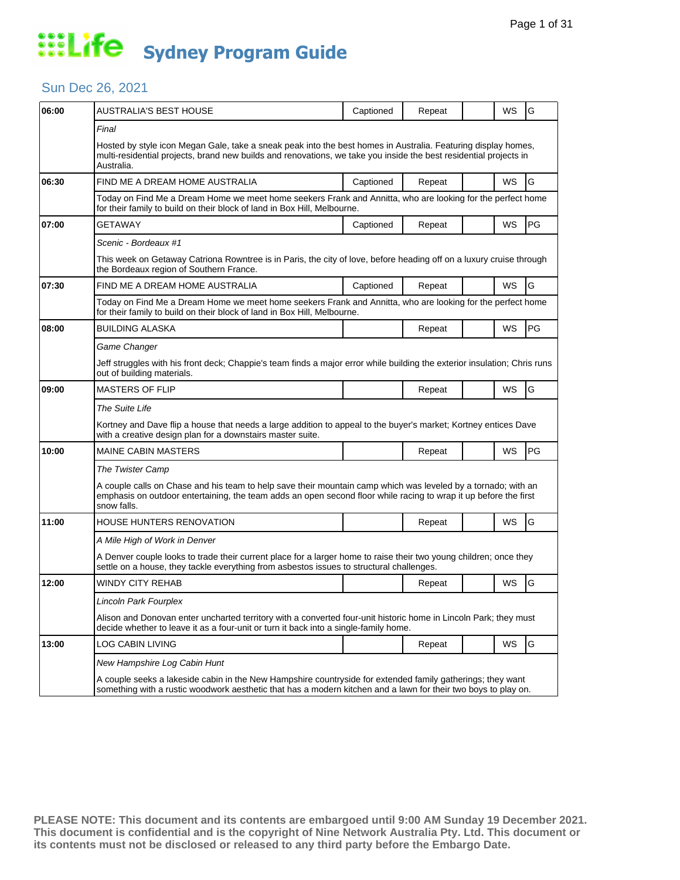#### Sun Dec 26, 2021

| 06:00 | AUSTRALIA'S BEST HOUSE                                                                                                                                                                                                                           | Captioned | Repeat |  | WS        | G  |  |  |
|-------|--------------------------------------------------------------------------------------------------------------------------------------------------------------------------------------------------------------------------------------------------|-----------|--------|--|-----------|----|--|--|
|       | Final                                                                                                                                                                                                                                            |           |        |  |           |    |  |  |
|       | Hosted by style icon Megan Gale, take a sneak peak into the best homes in Australia. Featuring display homes,<br>multi-residential projects, brand new builds and renovations, we take you inside the best residential projects in<br>Australia. |           |        |  |           |    |  |  |
| 06:30 | FIND ME A DREAM HOME AUSTRALIA                                                                                                                                                                                                                   | Captioned | Repeat |  | WS        | G  |  |  |
|       | Today on Find Me a Dream Home we meet home seekers Frank and Annitta, who are looking for the perfect home<br>for their family to build on their block of land in Box Hill, Melbourne.                                                           |           |        |  |           |    |  |  |
| 07:00 | <b>GETAWAY</b>                                                                                                                                                                                                                                   | Captioned | Repeat |  | WS        | PG |  |  |
|       | Scenic - Bordeaux #1                                                                                                                                                                                                                             |           |        |  |           |    |  |  |
|       | This week on Getaway Catriona Rowntree is in Paris, the city of love, before heading off on a luxury cruise through<br>the Bordeaux region of Southern France.                                                                                   |           |        |  |           |    |  |  |
| 07:30 | FIND ME A DREAM HOME AUSTRALIA                                                                                                                                                                                                                   | Captioned | Repeat |  | WS        | G  |  |  |
|       | Today on Find Me a Dream Home we meet home seekers Frank and Annitta, who are looking for the perfect home<br>for their family to build on their block of land in Box Hill, Melbourne.                                                           |           |        |  |           |    |  |  |
| 08:00 | <b>BUILDING ALASKA</b>                                                                                                                                                                                                                           |           | Repeat |  | WS        | PG |  |  |
|       | Game Changer                                                                                                                                                                                                                                     |           |        |  |           |    |  |  |
|       | Jeff struggles with his front deck; Chappie's team finds a major error while building the exterior insulation; Chris runs<br>out of building materials.                                                                                          |           |        |  |           |    |  |  |
| 09:00 | <b>MASTERS OF FLIP</b>                                                                                                                                                                                                                           |           | Repeat |  | WS        | G  |  |  |
|       | The Suite Life                                                                                                                                                                                                                                   |           |        |  |           |    |  |  |
|       | Kortney and Dave flip a house that needs a large addition to appeal to the buyer's market; Kortney entices Dave<br>with a creative design plan for a downstairs master suite.                                                                    |           |        |  |           |    |  |  |
| 10:00 | <b>MAINE CABIN MASTERS</b>                                                                                                                                                                                                                       |           | Repeat |  | WS        | PG |  |  |
|       | The Twister Camp                                                                                                                                                                                                                                 |           |        |  |           |    |  |  |
|       | A couple calls on Chase and his team to help save their mountain camp which was leveled by a tornado; with an<br>emphasis on outdoor entertaining, the team adds an open second floor while racing to wrap it up before the first<br>snow falls. |           |        |  |           |    |  |  |
| 11:00 | HOUSE HUNTERS RENOVATION                                                                                                                                                                                                                         |           | Repeat |  | <b>WS</b> | G  |  |  |
|       | A Mile High of Work in Denver                                                                                                                                                                                                                    |           |        |  |           |    |  |  |
|       | A Denver couple looks to trade their current place for a larger home to raise their two young children; once they<br>settle on a house, they tackle everything from asbestos issues to structural challenges.                                    |           |        |  |           |    |  |  |
| 12:00 | WINDY CITY REHAB                                                                                                                                                                                                                                 |           | Repeat |  | WS        | G  |  |  |
|       | <b>Lincoln Park Fourplex</b>                                                                                                                                                                                                                     |           |        |  |           |    |  |  |
|       | Alison and Donovan enter uncharted territory with a converted four-unit historic home in Lincoln Park; they must<br>decide whether to leave it as a four-unit or turn it back into a single-family home.                                         |           |        |  |           |    |  |  |
| 13:00 | <b>LOG CABIN LIVING</b>                                                                                                                                                                                                                          |           | Repeat |  | WS        | G  |  |  |
|       | New Hampshire Log Cabin Hunt                                                                                                                                                                                                                     |           |        |  |           |    |  |  |
|       | A couple seeks a lakeside cabin in the New Hampshire countryside for extended family gatherings; they want<br>something with a rustic woodwork aesthetic that has a modern kitchen and a lawn for their two boys to play on.                     |           |        |  |           |    |  |  |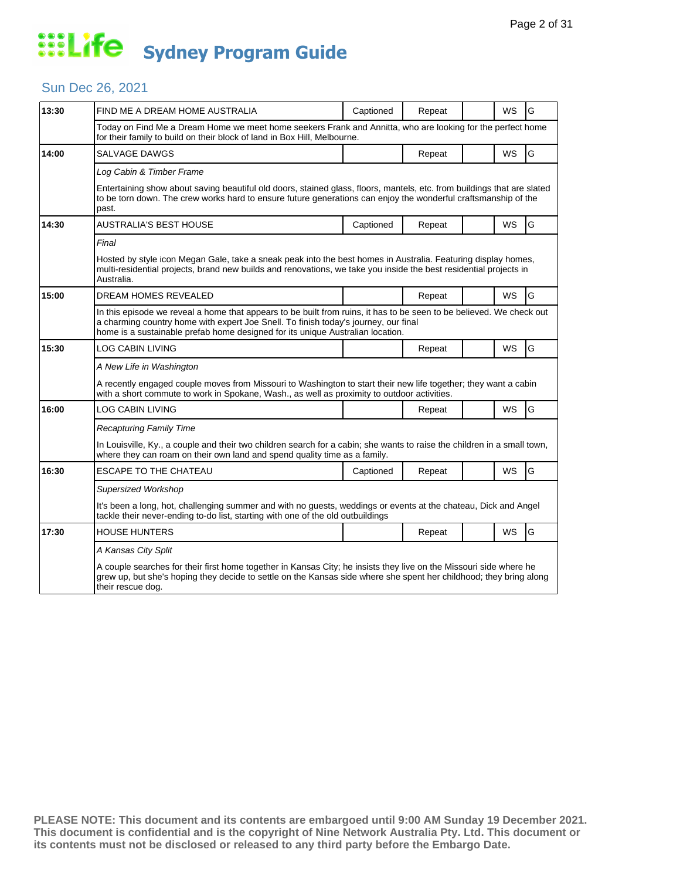#### Sun Dec 26, 2021

| 13:30 | FIND ME A DREAM HOME AUSTRALIA                                                                                                                                                                                                                                                                | Captioned | Repeat |  | <b>WS</b> | G |  |  |
|-------|-----------------------------------------------------------------------------------------------------------------------------------------------------------------------------------------------------------------------------------------------------------------------------------------------|-----------|--------|--|-----------|---|--|--|
|       | Today on Find Me a Dream Home we meet home seekers Frank and Annitta, who are looking for the perfect home<br>for their family to build on their block of land in Box Hill, Melbourne.                                                                                                        |           |        |  |           |   |  |  |
| 14:00 | SALVAGE DAWGS                                                                                                                                                                                                                                                                                 |           | Repeat |  | WS        | G |  |  |
|       | Log Cabin & Timber Frame                                                                                                                                                                                                                                                                      |           |        |  |           |   |  |  |
|       | Entertaining show about saving beautiful old doors, stained glass, floors, mantels, etc. from buildings that are slated<br>to be torn down. The crew works hard to ensure future generations can enjoy the wonderful craftsmanship of the<br>past.                                            |           |        |  |           |   |  |  |
| 14:30 | AUSTRALIA'S BEST HOUSE                                                                                                                                                                                                                                                                        | Captioned | Repeat |  | <b>WS</b> | G |  |  |
|       | Final                                                                                                                                                                                                                                                                                         |           |        |  |           |   |  |  |
|       | Hosted by style icon Megan Gale, take a sneak peak into the best homes in Australia. Featuring display homes,<br>multi-residential projects, brand new builds and renovations, we take you inside the best residential projects in<br>Australia.                                              |           |        |  |           |   |  |  |
| 15:00 | <b>DREAM HOMES REVEALED</b>                                                                                                                                                                                                                                                                   |           | Repeat |  | <b>WS</b> | G |  |  |
|       | In this episode we reveal a home that appears to be built from ruins, it has to be seen to be believed. We check out<br>a charming country home with expert Joe Snell. To finish today's journey, our final<br>home is a sustainable prefab home designed for its unique Australian location. |           |        |  |           |   |  |  |
| 15:30 | LOG CABIN LIVING                                                                                                                                                                                                                                                                              |           | Repeat |  | WS        | G |  |  |
|       | A New Life in Washington                                                                                                                                                                                                                                                                      |           |        |  |           |   |  |  |
|       | A recently engaged couple moves from Missouri to Washington to start their new life together; they want a cabin<br>with a short commute to work in Spokane, Wash., as well as proximity to outdoor activities.                                                                                |           |        |  |           |   |  |  |
| 16:00 | LOG CABIN LIVING                                                                                                                                                                                                                                                                              |           | Repeat |  | <b>WS</b> | G |  |  |
|       | <b>Recapturing Family Time</b>                                                                                                                                                                                                                                                                |           |        |  |           |   |  |  |
|       | In Louisville, Ky., a couple and their two children search for a cabin; she wants to raise the children in a small town,<br>where they can roam on their own land and spend quality time as a family.                                                                                         |           |        |  |           |   |  |  |
| 16:30 | <b>ESCAPE TO THE CHATEAU</b>                                                                                                                                                                                                                                                                  | Captioned | Repeat |  | <b>WS</b> | G |  |  |
|       | <b>Supersized Workshop</b>                                                                                                                                                                                                                                                                    |           |        |  |           |   |  |  |
|       | It's been a long, hot, challenging summer and with no guests, weddings or events at the chateau, Dick and Angel<br>tackle their never-ending to-do list, starting with one of the old outbuildings                                                                                            |           |        |  |           |   |  |  |
| 17:30 | <b>HOUSE HUNTERS</b>                                                                                                                                                                                                                                                                          |           | Repeat |  | <b>WS</b> | G |  |  |
|       | A Kansas City Split                                                                                                                                                                                                                                                                           |           |        |  |           |   |  |  |
|       | A couple searches for their first home together in Kansas City; he insists they live on the Missouri side where he<br>grew up, but she's hoping they decide to settle on the Kansas side where she spent her childhood; they bring along<br>their rescue dog.                                 |           |        |  |           |   |  |  |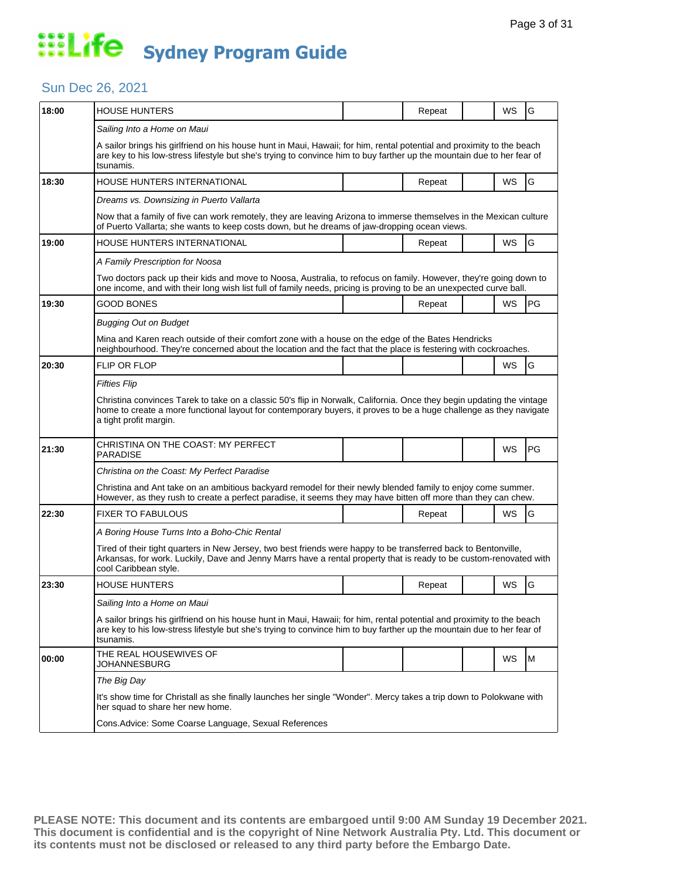### Sun Dec 26, 2021

| 18:00 |                                                                                                                                                                                                                                                                                              |  |        |  |           |    |  |  |
|-------|----------------------------------------------------------------------------------------------------------------------------------------------------------------------------------------------------------------------------------------------------------------------------------------------|--|--------|--|-----------|----|--|--|
|       | <b>HOUSE HUNTERS</b>                                                                                                                                                                                                                                                                         |  | Repeat |  | WS        | G  |  |  |
|       | Sailing Into a Home on Maui<br>A sailor brings his girlfriend on his house hunt in Maui, Hawaii; for him, rental potential and proximity to the beach<br>are key to his low-stress lifestyle but she's trying to convince him to buy farther up the mountain due to her fear of<br>tsunamis. |  |        |  |           |    |  |  |
| 18:30 | HOUSE HUNTERS INTERNATIONAL                                                                                                                                                                                                                                                                  |  | Repeat |  | WS        | G  |  |  |
|       | Dreams vs. Downsizing in Puerto Vallarta                                                                                                                                                                                                                                                     |  |        |  |           |    |  |  |
|       | Now that a family of five can work remotely, they are leaving Arizona to immerse themselves in the Mexican culture<br>of Puerto Vallarta; she wants to keep costs down, but he dreams of jaw-dropping ocean views.                                                                           |  |        |  |           |    |  |  |
| 19:00 | HOUSE HUNTERS INTERNATIONAL                                                                                                                                                                                                                                                                  |  | Repeat |  | <b>WS</b> | G  |  |  |
|       | A Family Prescription for Noosa                                                                                                                                                                                                                                                              |  |        |  |           |    |  |  |
|       | Two doctors pack up their kids and move to Noosa, Australia, to refocus on family. However, they're going down to<br>one income, and with their long wish list full of family needs, pricing is proving to be an unexpected curve ball.                                                      |  |        |  |           |    |  |  |
| 19:30 | <b>GOOD BONES</b>                                                                                                                                                                                                                                                                            |  | Repeat |  | <b>WS</b> | PG |  |  |
|       | <b>Bugging Out on Budget</b>                                                                                                                                                                                                                                                                 |  |        |  |           |    |  |  |
|       | Mina and Karen reach outside of their comfort zone with a house on the edge of the Bates Hendricks<br>neighbourhood. They're concerned about the location and the fact that the place is festering with cockroaches.                                                                         |  |        |  |           |    |  |  |
| 20:30 | <b>FLIP OR FLOP</b>                                                                                                                                                                                                                                                                          |  |        |  | WS        | G  |  |  |
|       | Fifties Flip                                                                                                                                                                                                                                                                                 |  |        |  |           |    |  |  |
|       | Christina convinces Tarek to take on a classic 50's flip in Norwalk, California. Once they begin updating the vintage                                                                                                                                                                        |  |        |  |           |    |  |  |
|       | home to create a more functional layout for contemporary buyers, it proves to be a huge challenge as they navigate<br>a tight profit margin.                                                                                                                                                 |  |        |  |           |    |  |  |
| 21:30 | CHRISTINA ON THE COAST: MY PERFECT<br><b>PARADISE</b>                                                                                                                                                                                                                                        |  |        |  | WS        | PG |  |  |
|       | Christina on the Coast: My Perfect Paradise                                                                                                                                                                                                                                                  |  |        |  |           |    |  |  |
|       | Christina and Ant take on an ambitious backyard remodel for their newly blended family to enjoy come summer.<br>However, as they rush to create a perfect paradise, it seems they may have bitten off more than they can chew.                                                               |  |        |  |           |    |  |  |
| 22:30 | <b>FIXER TO FABULOUS</b>                                                                                                                                                                                                                                                                     |  | Repeat |  | WS        | G  |  |  |
|       | A Boring House Turns Into a Boho-Chic Rental                                                                                                                                                                                                                                                 |  |        |  |           |    |  |  |
|       | Tired of their tight quarters in New Jersey, two best friends were happy to be transferred back to Bentonville,<br>Arkansas, for work. Luckily, Dave and Jenny Marrs have a rental property that is ready to be custom-renovated with<br>cool Caribbean style.                               |  |        |  |           |    |  |  |
| 23:30 | <b>HOUSE HUNTERS</b>                                                                                                                                                                                                                                                                         |  | Repeat |  | WS        | G  |  |  |
|       | Sailing Into a Home on Maui                                                                                                                                                                                                                                                                  |  |        |  |           |    |  |  |
|       | A sailor brings his girlfriend on his house hunt in Maui, Hawaii; for him, rental potential and proximity to the beach<br>are key to his low-stress lifestyle but she's trying to convince him to buy farther up the mountain due to her fear of<br>tsunamis.                                |  |        |  |           |    |  |  |
| 00:00 | THE REAL HOUSEWIVES OF<br>JOHANNESBURG                                                                                                                                                                                                                                                       |  |        |  | WS        | M  |  |  |
|       | The Big Day                                                                                                                                                                                                                                                                                  |  |        |  |           |    |  |  |
|       | It's show time for Christall as she finally launches her single "Wonder". Mercy takes a trip down to Polokwane with<br>her squad to share her new home.                                                                                                                                      |  |        |  |           |    |  |  |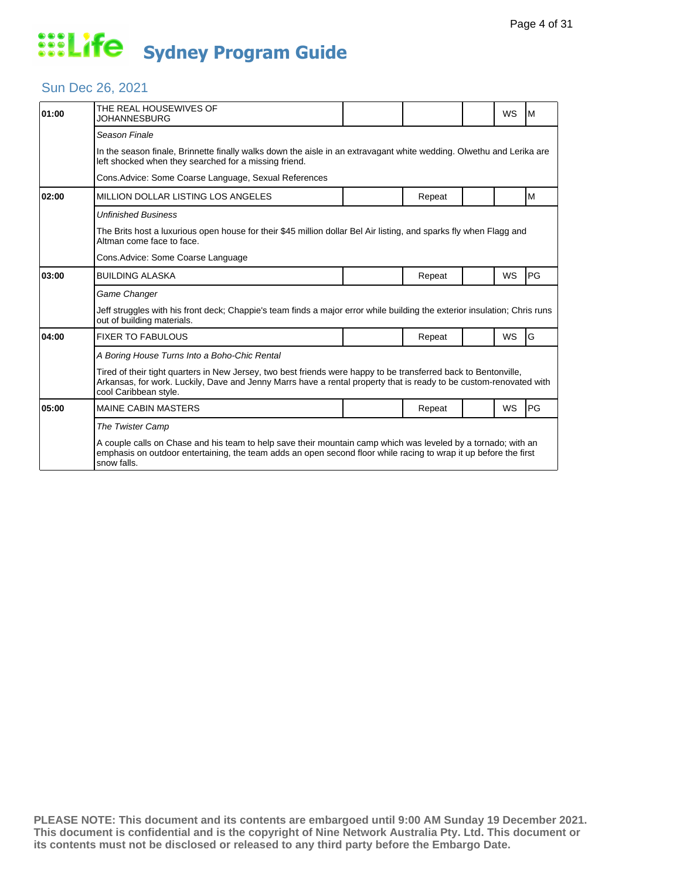### Sun Dec 26, 2021

| 01:00 | THE REAL HOUSEWIVES OF<br>JOHANNESBURG                                                                                                                                                                                                                         |  |        |  | WS        | M  |  |  |
|-------|----------------------------------------------------------------------------------------------------------------------------------------------------------------------------------------------------------------------------------------------------------------|--|--------|--|-----------|----|--|--|
|       | Season Finale                                                                                                                                                                                                                                                  |  |        |  |           |    |  |  |
|       | In the season finale, Brinnette finally walks down the aisle in an extravagant white wedding. Olwethu and Lerika are<br>left shocked when they searched for a missing friend.                                                                                  |  |        |  |           |    |  |  |
|       | Cons. Advice: Some Coarse Language, Sexual References                                                                                                                                                                                                          |  |        |  |           |    |  |  |
| 02:00 | <b>MILLION DOLLAR LISTING LOS ANGELES</b>                                                                                                                                                                                                                      |  | Repeat |  |           | M  |  |  |
|       | Unfinished Business                                                                                                                                                                                                                                            |  |        |  |           |    |  |  |
|       | The Brits host a luxurious open house for their \$45 million dollar Bel Air listing, and sparks fly when Flagg and<br>Altman come face to face.                                                                                                                |  |        |  |           |    |  |  |
|       | Cons.Advice: Some Coarse Language                                                                                                                                                                                                                              |  |        |  |           |    |  |  |
| 03:00 | <b>BUILDING ALASKA</b>                                                                                                                                                                                                                                         |  | Repeat |  | WS        | PG |  |  |
|       | Game Changer                                                                                                                                                                                                                                                   |  |        |  |           |    |  |  |
|       | Jeff struggles with his front deck; Chappie's team finds a major error while building the exterior insulation; Chris runs<br>out of building materials.                                                                                                        |  |        |  |           |    |  |  |
| 04:00 | <b>FIXER TO FABULOUS</b>                                                                                                                                                                                                                                       |  | Repeat |  | <b>WS</b> | G  |  |  |
|       | A Boring House Turns Into a Boho-Chic Rental                                                                                                                                                                                                                   |  |        |  |           |    |  |  |
|       | Tired of their tight quarters in New Jersey, two best friends were happy to be transferred back to Bentonville,<br>Arkansas, for work. Luckily, Dave and Jenny Marrs have a rental property that is ready to be custom-renovated with<br>cool Caribbean style. |  |        |  |           |    |  |  |
| 05:00 | <b>MAINE CABIN MASTERS</b>                                                                                                                                                                                                                                     |  | Repeat |  | WS        | PG |  |  |
|       | The Twister Camp                                                                                                                                                                                                                                               |  |        |  |           |    |  |  |
|       | A couple calls on Chase and his team to help save their mountain camp which was leveled by a tornado; with an<br>emphasis on outdoor entertaining, the team adds an open second floor while racing to wrap it up before the first<br>snow falls.               |  |        |  |           |    |  |  |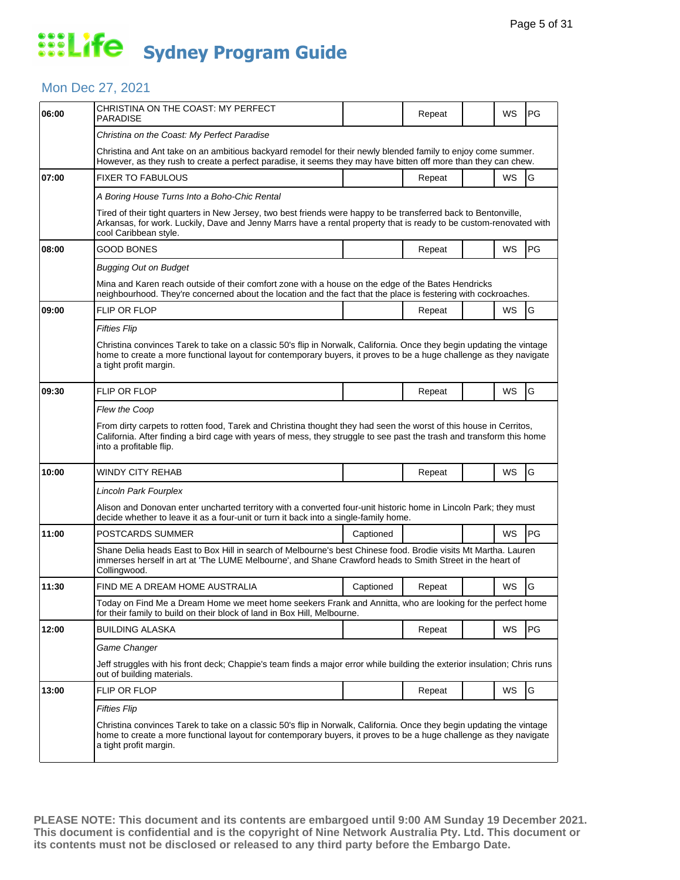### Mon Dec 27, 2021

| 06:00 | CHRISTINA ON THE COAST: MY PERFECT<br>PARADISE                                                                                                                                                                                                                        |           | Repeat |  | WS        | PG |  |  |  |
|-------|-----------------------------------------------------------------------------------------------------------------------------------------------------------------------------------------------------------------------------------------------------------------------|-----------|--------|--|-----------|----|--|--|--|
|       | Christina on the Coast: My Perfect Paradise                                                                                                                                                                                                                           |           |        |  |           |    |  |  |  |
|       | Christina and Ant take on an ambitious backyard remodel for their newly blended family to enjoy come summer.<br>However, as they rush to create a perfect paradise, it seems they may have bitten off more than they can chew.                                        |           |        |  |           |    |  |  |  |
| 07:00 | <b>FIXER TO FABULOUS</b>                                                                                                                                                                                                                                              |           | Repeat |  | WS        | G  |  |  |  |
|       | A Boring House Turns Into a Boho-Chic Rental                                                                                                                                                                                                                          |           |        |  |           |    |  |  |  |
|       | Tired of their tight quarters in New Jersey, two best friends were happy to be transferred back to Bentonville,<br>Arkansas, for work. Luckily, Dave and Jenny Marrs have a rental property that is ready to be custom-renovated with<br>cool Caribbean style.        |           |        |  |           |    |  |  |  |
| 08:00 | <b>GOOD BONES</b>                                                                                                                                                                                                                                                     |           | Repeat |  | WS        | PG |  |  |  |
|       | Bugging Out on Budget                                                                                                                                                                                                                                                 |           |        |  |           |    |  |  |  |
|       | Mina and Karen reach outside of their comfort zone with a house on the edge of the Bates Hendricks<br>neighbourhood. They're concerned about the location and the fact that the place is festering with cockroaches.                                                  |           |        |  |           |    |  |  |  |
| 09:00 | <b>FLIP OR FLOP</b>                                                                                                                                                                                                                                                   |           | Repeat |  | <b>WS</b> | G  |  |  |  |
|       | Fifties Flip                                                                                                                                                                                                                                                          |           |        |  |           |    |  |  |  |
|       | Christina convinces Tarek to take on a classic 50's flip in Norwalk, California. Once they begin updating the vintage<br>home to create a more functional layout for contemporary buyers, it proves to be a huge challenge as they navigate<br>a tight profit margin. |           |        |  |           |    |  |  |  |
| 09:30 | <b>FLIP OR FLOP</b>                                                                                                                                                                                                                                                   |           | Repeat |  | WS        | G  |  |  |  |
|       | Flew the Coop                                                                                                                                                                                                                                                         |           |        |  |           |    |  |  |  |
|       | From dirty carpets to rotten food, Tarek and Christina thought they had seen the worst of this house in Cerritos,<br>California. After finding a bird cage with years of mess, they struggle to see past the trash and transform this home<br>into a profitable flip. |           |        |  |           |    |  |  |  |
| 10:00 | WINDY CITY REHAB                                                                                                                                                                                                                                                      |           | Repeat |  | WS        | G  |  |  |  |
|       | Lincoln Park Fourplex                                                                                                                                                                                                                                                 |           |        |  |           |    |  |  |  |
|       | Alison and Donovan enter uncharted territory with a converted four-unit historic home in Lincoln Park; they must<br>decide whether to leave it as a four-unit or turn it back into a single-family home.                                                              |           |        |  |           |    |  |  |  |
| 11:00 | POSTCARDS SUMMER                                                                                                                                                                                                                                                      | Captioned |        |  | WS        | PG |  |  |  |
|       | Shane Delia heads East to Box Hill in search of Melbourne's best Chinese food. Brodie visits Mt Martha. Lauren<br>immerses herself in art at 'The LUME Melbourne', and Shane Crawford heads to Smith Street in the heart of<br>Collingwood.                           |           |        |  |           |    |  |  |  |
| 11:30 | FIND ME A DREAM HOME AUSTRALIA                                                                                                                                                                                                                                        | Captioned | Repeat |  | WS        | G  |  |  |  |
|       | Today on Find Me a Dream Home we meet home seekers Frank and Annitta, who are looking for the perfect home<br>for their family to build on their block of land in Box Hill, Melbourne.                                                                                |           |        |  |           |    |  |  |  |
| 12:00 | <b>BUILDING ALASKA</b>                                                                                                                                                                                                                                                |           | Repeat |  | WS        | PG |  |  |  |
|       | Game Changer                                                                                                                                                                                                                                                          |           |        |  |           |    |  |  |  |
|       | Jeff struggles with his front deck; Chappie's team finds a major error while building the exterior insulation; Chris runs<br>out of building materials.                                                                                                               |           |        |  |           |    |  |  |  |
| 13:00 | FLIP OR FLOP                                                                                                                                                                                                                                                          |           | Repeat |  | <b>WS</b> | G  |  |  |  |
|       | Fifties Flip                                                                                                                                                                                                                                                          |           |        |  |           |    |  |  |  |
|       | Christina convinces Tarek to take on a classic 50's flip in Norwalk, California. Once they begin updating the vintage<br>home to create a more functional layout for contemporary buyers, it proves to be a huge challenge as they navigate<br>a tight profit margin. |           |        |  |           |    |  |  |  |
|       |                                                                                                                                                                                                                                                                       |           |        |  |           |    |  |  |  |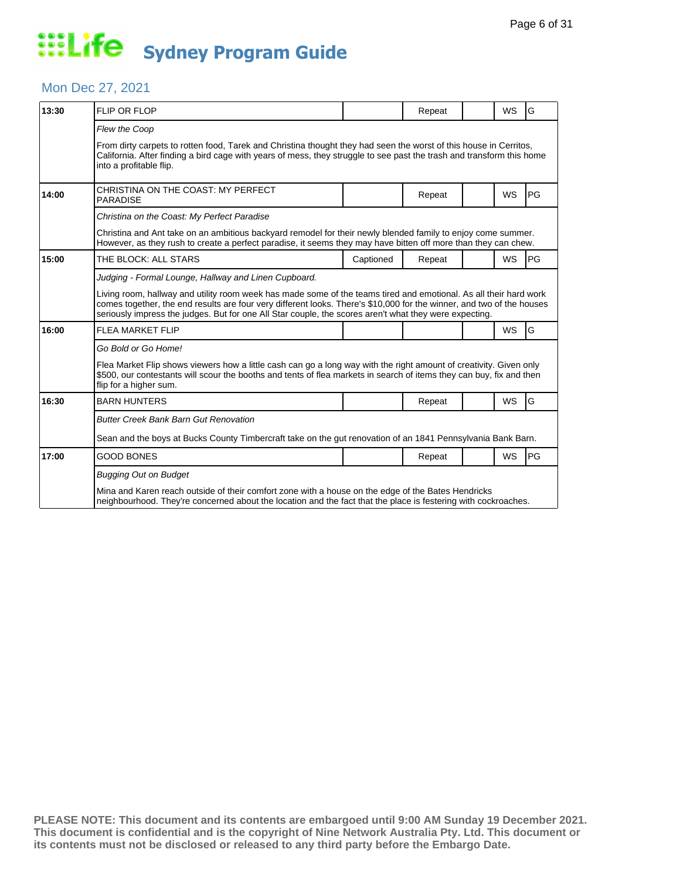#### Mon Dec 27, 2021

| 13:30 | <b>FLIP OR FLOP</b>                                                                                                                                                                                                                                                                                                                                  |           | Repeat |  | <b>WS</b> | G         |  |  |
|-------|------------------------------------------------------------------------------------------------------------------------------------------------------------------------------------------------------------------------------------------------------------------------------------------------------------------------------------------------------|-----------|--------|--|-----------|-----------|--|--|
|       | <b>Flew the Coop</b><br>From dirty carpets to rotten food, Tarek and Christina thought they had seen the worst of this house in Cerritos,<br>California. After finding a bird cage with years of mess, they struggle to see past the trash and transform this home<br>into a profitable flip.                                                        |           |        |  |           |           |  |  |
| 14:00 | CHRISTINA ON THE COAST: MY PERFECT<br><b>PARADISE</b>                                                                                                                                                                                                                                                                                                |           | Repeat |  | <b>WS</b> | PG        |  |  |
|       | Christina on the Coast: My Perfect Paradise                                                                                                                                                                                                                                                                                                          |           |        |  |           |           |  |  |
|       | Christina and Ant take on an ambitious backyard remodel for their newly blended family to enjoy come summer.<br>However, as they rush to create a perfect paradise, it seems they may have bitten off more than they can chew.                                                                                                                       |           |        |  |           |           |  |  |
| 15:00 | THE BLOCK: ALL STARS                                                                                                                                                                                                                                                                                                                                 | Captioned | Repeat |  | <b>WS</b> | <b>PG</b> |  |  |
|       | Judging - Formal Lounge, Hallway and Linen Cupboard.                                                                                                                                                                                                                                                                                                 |           |        |  |           |           |  |  |
|       | Living room, hallway and utility room week has made some of the teams tired and emotional. As all their hard work<br>comes together, the end results are four very different looks. There's \$10,000 for the winner, and two of the houses<br>seriously impress the judges. But for one All Star couple, the scores aren't what they were expecting. |           |        |  |           |           |  |  |
| 16:00 | <b>FLEA MARKET FLIP</b>                                                                                                                                                                                                                                                                                                                              |           |        |  | <b>WS</b> | G         |  |  |
|       | Go Bold or Go Home!                                                                                                                                                                                                                                                                                                                                  |           |        |  |           |           |  |  |
|       | Flea Market Flip shows viewers how a little cash can go a long way with the right amount of creativity. Given only<br>\$500, our contestants will scour the booths and tents of flea markets in search of items they can buy, fix and then<br>flip for a higher sum.                                                                                 |           |        |  |           |           |  |  |
| 16:30 | <b>BARN HUNTERS</b>                                                                                                                                                                                                                                                                                                                                  |           | Repeat |  | <b>WS</b> | G         |  |  |
|       | <b>Butter Creek Bank Barn Gut Renovation</b>                                                                                                                                                                                                                                                                                                         |           |        |  |           |           |  |  |
|       | Sean and the boys at Bucks County Timbercraft take on the gut renovation of an 1841 Pennsylvania Bank Barn.                                                                                                                                                                                                                                          |           |        |  |           |           |  |  |
| 17:00 | <b>GOOD BONES</b>                                                                                                                                                                                                                                                                                                                                    |           | Repeat |  | <b>WS</b> | <b>PG</b> |  |  |
|       | <b>Bugging Out on Budget</b><br>Mina and Karen reach outside of their comfort zone with a house on the edge of the Bates Hendricks<br>neighbourhood. They're concerned about the location and the fact that the place is festering with cockroaches.                                                                                                 |           |        |  |           |           |  |  |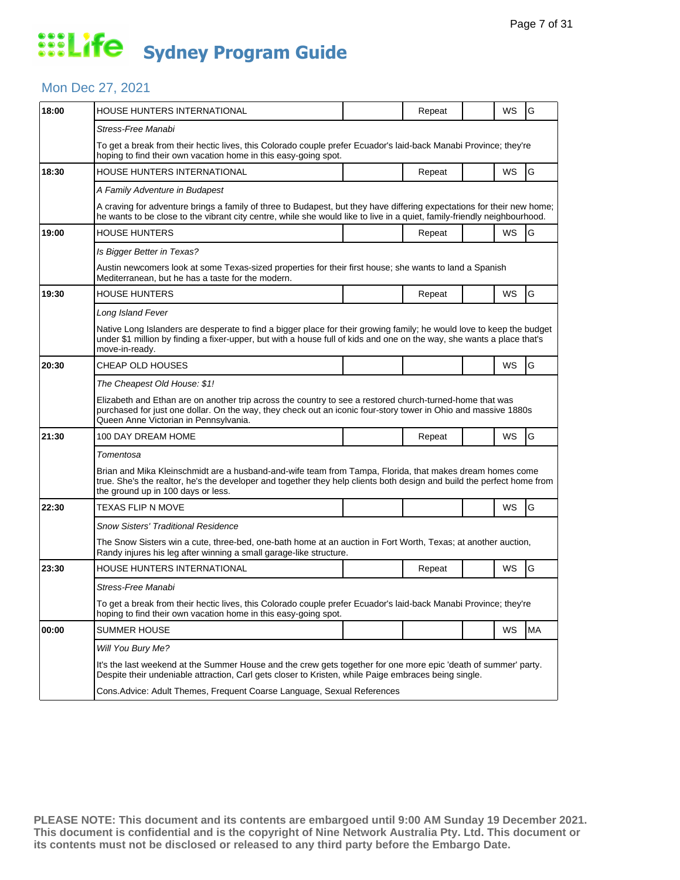#### Mon Dec 27, 2021

| 18:00 | HOUSE HUNTERS INTERNATIONAL                                                                                                                                                                                                                                              |  | Repeat |  | WS | G         |  |  |  |
|-------|--------------------------------------------------------------------------------------------------------------------------------------------------------------------------------------------------------------------------------------------------------------------------|--|--------|--|----|-----------|--|--|--|
|       | Stress-Free Manabi                                                                                                                                                                                                                                                       |  |        |  |    |           |  |  |  |
|       | To get a break from their hectic lives, this Colorado couple prefer Ecuador's laid-back Manabi Province; they're<br>hoping to find their own vacation home in this easy-going spot.                                                                                      |  |        |  |    |           |  |  |  |
| 18:30 | <b>HOUSE HUNTERS INTERNATIONAL</b>                                                                                                                                                                                                                                       |  | Repeat |  | WS | G         |  |  |  |
|       | A Family Adventure in Budapest                                                                                                                                                                                                                                           |  |        |  |    |           |  |  |  |
|       | A craving for adventure brings a family of three to Budapest, but they have differing expectations for their new home;<br>he wants to be close to the vibrant city centre, while she would like to live in a quiet, family-friendly neighbourhood.                       |  |        |  |    |           |  |  |  |
| 19:00 | <b>HOUSE HUNTERS</b>                                                                                                                                                                                                                                                     |  | Repeat |  | WS | G         |  |  |  |
|       | Is Bigger Better in Texas?                                                                                                                                                                                                                                               |  |        |  |    |           |  |  |  |
|       | Austin newcomers look at some Texas-sized properties for their first house; she wants to land a Spanish<br>Mediterranean, but he has a taste for the modern.                                                                                                             |  |        |  |    |           |  |  |  |
| 19:30 | <b>HOUSE HUNTERS</b>                                                                                                                                                                                                                                                     |  | Repeat |  | WS | G         |  |  |  |
|       | Long Island Fever                                                                                                                                                                                                                                                        |  |        |  |    |           |  |  |  |
|       | Native Long Islanders are desperate to find a bigger place for their growing family; he would love to keep the budget<br>under \$1 million by finding a fixer-upper, but with a house full of kids and one on the way, she wants a place that's<br>move-in-ready.        |  |        |  |    |           |  |  |  |
| 20:30 | CHEAP OLD HOUSES                                                                                                                                                                                                                                                         |  |        |  | WS | G         |  |  |  |
|       | The Cheapest Old House: \$1!                                                                                                                                                                                                                                             |  |        |  |    |           |  |  |  |
|       | Elizabeth and Ethan are on another trip across the country to see a restored church-turned-home that was<br>purchased for just one dollar. On the way, they check out an iconic four-story tower in Ohio and massive 1880s<br>Queen Anne Victorian in Pennsylvania.      |  |        |  |    |           |  |  |  |
| 21:30 | 100 DAY DREAM HOME                                                                                                                                                                                                                                                       |  | Repeat |  | WS | G         |  |  |  |
|       | Tomentosa                                                                                                                                                                                                                                                                |  |        |  |    |           |  |  |  |
|       | Brian and Mika Kleinschmidt are a husband-and-wife team from Tampa, Florida, that makes dream homes come<br>true. She's the realtor, he's the developer and together they help clients both design and build the perfect home from<br>the ground up in 100 days or less. |  |        |  |    |           |  |  |  |
| 22:30 | TEXAS FLIP N MOVE                                                                                                                                                                                                                                                        |  |        |  | WS | G         |  |  |  |
|       | Snow Sisters' Traditional Residence                                                                                                                                                                                                                                      |  |        |  |    |           |  |  |  |
|       | The Snow Sisters win a cute, three-bed, one-bath home at an auction in Fort Worth, Texas; at another auction,<br>Randy injures his leg after winning a small garage-like structure.                                                                                      |  |        |  |    |           |  |  |  |
| 23:30 | HOUSE HUNTERS INTERNATIONAL                                                                                                                                                                                                                                              |  | Repeat |  | WS | G         |  |  |  |
|       | Stress-Free Manabi                                                                                                                                                                                                                                                       |  |        |  |    |           |  |  |  |
|       | To get a break from their hectic lives, this Colorado couple prefer Ecuador's laid-back Manabi Province; they're<br>hoping to find their own vacation home in this easy-going spot.                                                                                      |  |        |  |    |           |  |  |  |
| 00:00 | <b>SUMMER HOUSE</b>                                                                                                                                                                                                                                                      |  |        |  | WS | <b>MA</b> |  |  |  |
|       | Will You Bury Me?                                                                                                                                                                                                                                                        |  |        |  |    |           |  |  |  |
|       | It's the last weekend at the Summer House and the crew gets together for one more epic 'death of summer' party.<br>Despite their undeniable attraction, Carl gets closer to Kristen, while Paige embraces being single.                                                  |  |        |  |    |           |  |  |  |
|       | Cons. Advice: Adult Themes, Frequent Coarse Language, Sexual References                                                                                                                                                                                                  |  |        |  |    |           |  |  |  |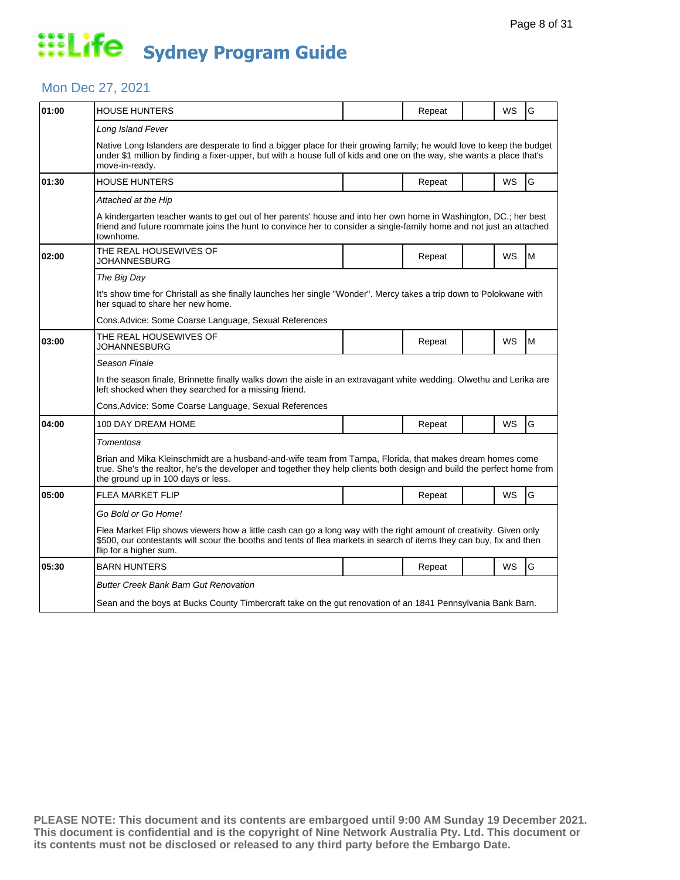### Mon Dec 27, 2021

| 01:00 | HOUSE HUNTERS                                                                                                                                                                                                                                                            |  | Repeat |  | WS        | G   |  |  |
|-------|--------------------------------------------------------------------------------------------------------------------------------------------------------------------------------------------------------------------------------------------------------------------------|--|--------|--|-----------|-----|--|--|
|       | Long Island Fever                                                                                                                                                                                                                                                        |  |        |  |           |     |  |  |
|       | Native Long Islanders are desperate to find a bigger place for their growing family; he would love to keep the budget<br>under \$1 million by finding a fixer-upper, but with a house full of kids and one on the way, she wants a place that's<br>move-in-ready.        |  |        |  |           |     |  |  |
| 01:30 | <b>HOUSE HUNTERS</b>                                                                                                                                                                                                                                                     |  | Repeat |  | <b>WS</b> | G   |  |  |
|       | Attached at the Hip                                                                                                                                                                                                                                                      |  |        |  |           |     |  |  |
|       | A kindergarten teacher wants to get out of her parents' house and into her own home in Washington, DC.; her best<br>friend and future roommate joins the hunt to convince her to consider a single-family home and not just an attached<br>townhome.                     |  |        |  |           |     |  |  |
| 02:00 | THE REAL HOUSEWIVES OF<br>JOHANNESBURG                                                                                                                                                                                                                                   |  | Repeat |  | WS        | lM. |  |  |
|       | The Big Day                                                                                                                                                                                                                                                              |  |        |  |           |     |  |  |
|       | It's show time for Christall as she finally launches her single "Wonder". Mercy takes a trip down to Polokwane with<br>her squad to share her new home.                                                                                                                  |  |        |  |           |     |  |  |
|       | Cons.Advice: Some Coarse Language, Sexual References                                                                                                                                                                                                                     |  |        |  |           |     |  |  |
| 03:00 | THE REAL HOUSEWIVES OF<br>JOHANNESBURG                                                                                                                                                                                                                                   |  | Repeat |  | <b>WS</b> | M   |  |  |
|       | Season Finale                                                                                                                                                                                                                                                            |  |        |  |           |     |  |  |
|       | In the season finale, Brinnette finally walks down the aisle in an extravagant white wedding. Olwethu and Lerika are<br>left shocked when they searched for a missing friend.                                                                                            |  |        |  |           |     |  |  |
|       | Cons.Advice: Some Coarse Language, Sexual References                                                                                                                                                                                                                     |  |        |  |           |     |  |  |
| 04:00 | 100 DAY DREAM HOME                                                                                                                                                                                                                                                       |  | Repeat |  | <b>WS</b> | G   |  |  |
|       | Tomentosa                                                                                                                                                                                                                                                                |  |        |  |           |     |  |  |
|       | Brian and Mika Kleinschmidt are a husband-and-wife team from Tampa, Florida, that makes dream homes come<br>true. She's the realtor, he's the developer and together they help clients both design and build the perfect home from<br>the ground up in 100 days or less. |  |        |  |           |     |  |  |
| 05:00 | <b>FLEA MARKET FLIP</b>                                                                                                                                                                                                                                                  |  | Repeat |  | WS        | G   |  |  |
|       | Go Bold or Go Home!                                                                                                                                                                                                                                                      |  |        |  |           |     |  |  |
|       | Flea Market Flip shows viewers how a little cash can go a long way with the right amount of creativity. Given only<br>\$500, our contestants will scour the booths and tents of flea markets in search of items they can buy, fix and then<br>flip for a higher sum.     |  |        |  |           |     |  |  |
| 05:30 | <b>BARN HUNTERS</b>                                                                                                                                                                                                                                                      |  | Repeat |  | <b>WS</b> | G   |  |  |
|       | <b>Butter Creek Bank Barn Gut Renovation</b>                                                                                                                                                                                                                             |  |        |  |           |     |  |  |
|       | Sean and the boys at Bucks County Timbercraft take on the gut renovation of an 1841 Pennsylvania Bank Barn.                                                                                                                                                              |  |        |  |           |     |  |  |
|       |                                                                                                                                                                                                                                                                          |  |        |  |           |     |  |  |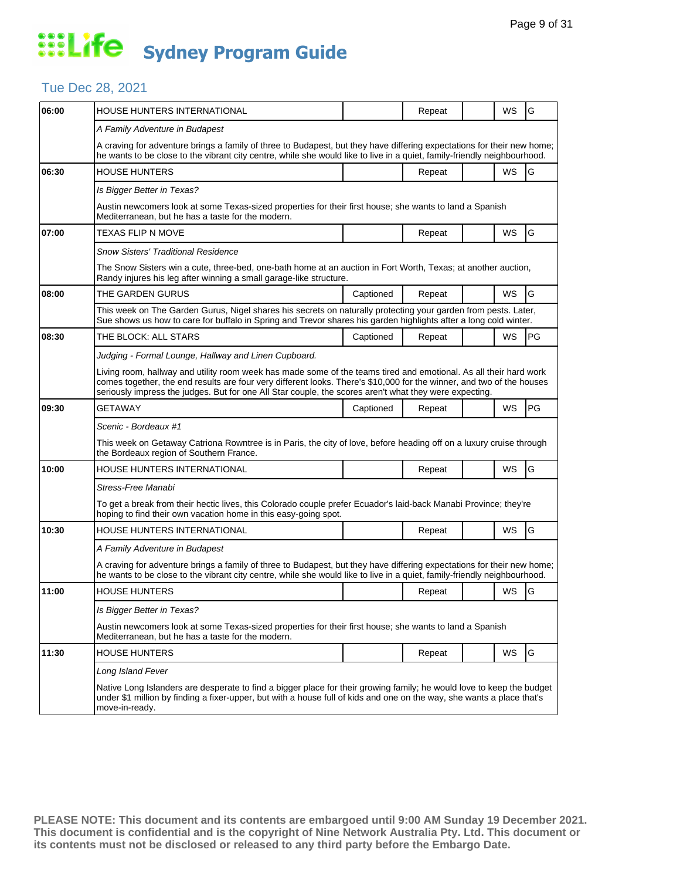## Tue Dec 28, 2021

| 06:00 | <b>HOUSE HUNTERS INTERNATIONAL</b>                                                                                                                                                                                                                                                                                                                   |           | Repeat |  | WS | G  |  |  |
|-------|------------------------------------------------------------------------------------------------------------------------------------------------------------------------------------------------------------------------------------------------------------------------------------------------------------------------------------------------------|-----------|--------|--|----|----|--|--|
|       | A Family Adventure in Budapest                                                                                                                                                                                                                                                                                                                       |           |        |  |    |    |  |  |
|       | A craving for adventure brings a family of three to Budapest, but they have differing expectations for their new home;<br>he wants to be close to the vibrant city centre, while she would like to live in a quiet, family-friendly neighbourhood.                                                                                                   |           |        |  |    |    |  |  |
| 06:30 | <b>HOUSE HUNTERS</b>                                                                                                                                                                                                                                                                                                                                 |           | Repeat |  | WS | G  |  |  |
|       | Is Bigger Better in Texas?                                                                                                                                                                                                                                                                                                                           |           |        |  |    |    |  |  |
|       | Austin newcomers look at some Texas-sized properties for their first house; she wants to land a Spanish<br>Mediterranean, but he has a taste for the modern.                                                                                                                                                                                         |           |        |  |    |    |  |  |
| 07:00 | TEXAS FLIP N MOVE                                                                                                                                                                                                                                                                                                                                    |           | Repeat |  | WS | G  |  |  |
|       | Snow Sisters' Traditional Residence                                                                                                                                                                                                                                                                                                                  |           |        |  |    |    |  |  |
|       | The Snow Sisters win a cute, three-bed, one-bath home at an auction in Fort Worth, Texas; at another auction,<br>Randy injures his leg after winning a small garage-like structure.                                                                                                                                                                  |           |        |  |    |    |  |  |
| 08:00 | THE GARDEN GURUS                                                                                                                                                                                                                                                                                                                                     | Captioned | Repeat |  | WS | G  |  |  |
|       | This week on The Garden Gurus, Nigel shares his secrets on naturally protecting your garden from pests. Later,<br>Sue shows us how to care for buffalo in Spring and Trevor shares his garden highlights after a long cold winter.                                                                                                                   |           |        |  |    |    |  |  |
| 08:30 | THE BLOCK: ALL STARS                                                                                                                                                                                                                                                                                                                                 | Captioned | Repeat |  | WS | PG |  |  |
|       | Judging - Formal Lounge, Hallway and Linen Cupboard.                                                                                                                                                                                                                                                                                                 |           |        |  |    |    |  |  |
|       | Living room, hallway and utility room week has made some of the teams tired and emotional. As all their hard work<br>comes together, the end results are four very different looks. There's \$10,000 for the winner, and two of the houses<br>seriously impress the judges. But for one All Star couple, the scores aren't what they were expecting. |           |        |  |    |    |  |  |
| 09:30 | GETAWAY                                                                                                                                                                                                                                                                                                                                              | Captioned | Repeat |  | WS | PG |  |  |
|       | Scenic - Bordeaux #1                                                                                                                                                                                                                                                                                                                                 |           |        |  |    |    |  |  |
|       | This week on Getaway Catriona Rowntree is in Paris, the city of love, before heading off on a luxury cruise through<br>the Bordeaux region of Southern France.                                                                                                                                                                                       |           |        |  |    |    |  |  |
| 10:00 | HOUSE HUNTERS INTERNATIONAL                                                                                                                                                                                                                                                                                                                          |           | Repeat |  | WS | G  |  |  |
|       | Stress-Free Manabi                                                                                                                                                                                                                                                                                                                                   |           |        |  |    |    |  |  |
|       | To get a break from their hectic lives, this Colorado couple prefer Ecuador's laid-back Manabi Province; they're<br>hoping to find their own vacation home in this easy-going spot.                                                                                                                                                                  |           |        |  |    |    |  |  |
| 10:30 | HOUSE HUNTERS INTERNATIONAL                                                                                                                                                                                                                                                                                                                          |           | Repeat |  | WS | G  |  |  |
|       | A Family Adventure in Budapest                                                                                                                                                                                                                                                                                                                       |           |        |  |    |    |  |  |
|       | A craving for adventure brings a family of three to Budapest, but they have differing expectations for their new home;<br>he wants to be close to the vibrant city centre, while she would like to live in a quiet, family-friendly neighbourhood.                                                                                                   |           |        |  |    |    |  |  |
| 11:00 | <b>HOUSE HUNTERS</b>                                                                                                                                                                                                                                                                                                                                 |           | Repeat |  | WS | G  |  |  |
|       | Is Bigger Better in Texas?                                                                                                                                                                                                                                                                                                                           |           |        |  |    |    |  |  |
|       | Austin newcomers look at some Texas-sized properties for their first house; she wants to land a Spanish<br>Mediterranean, but he has a taste for the modern.                                                                                                                                                                                         |           |        |  |    |    |  |  |
| 11:30 | <b>HOUSE HUNTERS</b>                                                                                                                                                                                                                                                                                                                                 |           | Repeat |  | WS | G  |  |  |
|       | Long Island Fever                                                                                                                                                                                                                                                                                                                                    |           |        |  |    |    |  |  |
|       | Native Long Islanders are desperate to find a bigger place for their growing family; he would love to keep the budget<br>under \$1 million by finding a fixer-upper, but with a house full of kids and one on the way, she wants a place that's<br>move-in-ready.                                                                                    |           |        |  |    |    |  |  |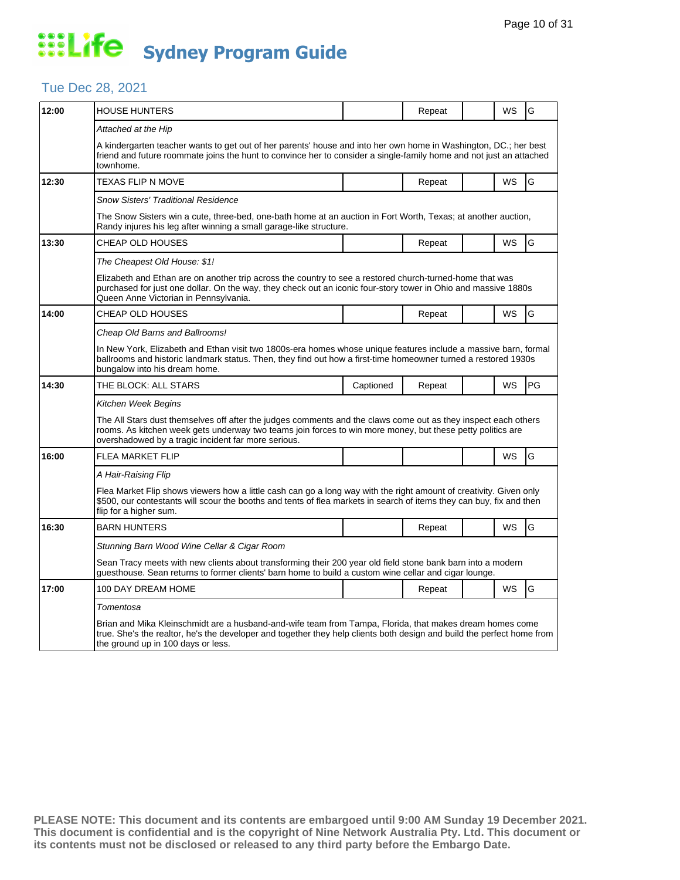## Tue Dec 28, 2021

| 12:00 | <b>HOUSE HUNTERS</b>                                                                                                                                                                                                                                                                |           | Repeat |  | WS        | G  |  |  |
|-------|-------------------------------------------------------------------------------------------------------------------------------------------------------------------------------------------------------------------------------------------------------------------------------------|-----------|--------|--|-----------|----|--|--|
|       | Attached at the Hip                                                                                                                                                                                                                                                                 |           |        |  |           |    |  |  |
|       | A kindergarten teacher wants to get out of her parents' house and into her own home in Washington, DC.; her best<br>friend and future roommate joins the hunt to convince her to consider a single-family home and not just an attached<br>townhome.                                |           |        |  |           |    |  |  |
| 12:30 | TEXAS FLIP N MOVE                                                                                                                                                                                                                                                                   |           | Repeat |  | <b>WS</b> | G  |  |  |
|       | <b>Snow Sisters' Traditional Residence</b>                                                                                                                                                                                                                                          |           |        |  |           |    |  |  |
|       | The Snow Sisters win a cute, three-bed, one-bath home at an auction in Fort Worth, Texas; at another auction,<br>Randy injures his leg after winning a small garage-like structure.                                                                                                 |           |        |  |           |    |  |  |
| 13:30 | CHEAP OLD HOUSES                                                                                                                                                                                                                                                                    |           | Repeat |  | WS        | G  |  |  |
|       | The Cheapest Old House: \$1!                                                                                                                                                                                                                                                        |           |        |  |           |    |  |  |
|       | Elizabeth and Ethan are on another trip across the country to see a restored church-turned-home that was<br>purchased for just one dollar. On the way, they check out an iconic four-story tower in Ohio and massive 1880s<br>Queen Anne Victorian in Pennsylvania.                 |           |        |  |           |    |  |  |
| 14:00 | <b>CHEAP OLD HOUSES</b>                                                                                                                                                                                                                                                             |           | Repeat |  | WS        | G  |  |  |
|       | Cheap Old Barns and Ballrooms!                                                                                                                                                                                                                                                      |           |        |  |           |    |  |  |
|       | In New York, Elizabeth and Ethan visit two 1800s-era homes whose unique features include a massive barn, formal<br>ballrooms and historic landmark status. Then, they find out how a first-time homeowner turned a restored 1930s<br>bungalow into his dream home.                  |           |        |  |           |    |  |  |
| 14:30 | THE BLOCK: ALL STARS                                                                                                                                                                                                                                                                | Captioned | Repeat |  | WS        | PG |  |  |
|       | Kitchen Week Begins                                                                                                                                                                                                                                                                 |           |        |  |           |    |  |  |
|       | The All Stars dust themselves off after the judges comments and the claws come out as they inspect each others<br>rooms. As kitchen week gets underway two teams join forces to win more money, but these petty politics are<br>overshadowed by a tragic incident far more serious. |           |        |  |           |    |  |  |
| 16:00 | <b>FLEA MARKET FLIP</b>                                                                                                                                                                                                                                                             |           |        |  | WS        | G  |  |  |
|       | A Hair-Raising Flip                                                                                                                                                                                                                                                                 |           |        |  |           |    |  |  |
|       | Flea Market Flip shows viewers how a little cash can go a long way with the right amount of creativity. Given only<br>\$500, our contestants will scour the booths and tents of flea markets in search of items they can buy, fix and then<br>flip for a higher sum.                |           |        |  |           |    |  |  |
| 16:30 | <b>BARN HUNTERS</b>                                                                                                                                                                                                                                                                 |           | Repeat |  | WS        | G  |  |  |
|       | Stunning Barn Wood Wine Cellar & Cigar Room                                                                                                                                                                                                                                         |           |        |  |           |    |  |  |
|       | Sean Tracy meets with new clients about transforming their 200 year old field stone bank barn into a modern<br>guesthouse. Sean returns to former clients' barn home to build a custom wine cellar and cigar lounge.                                                                |           |        |  |           |    |  |  |
| 17:00 | 100 DAY DREAM HOME                                                                                                                                                                                                                                                                  |           | Repeat |  | WS        | G  |  |  |
|       | Tomentosa                                                                                                                                                                                                                                                                           |           |        |  |           |    |  |  |
|       | Brian and Mika Kleinschmidt are a husband-and-wife team from Tampa, Florida, that makes dream homes come<br>true. She's the realtor, he's the developer and together they help clients both design and build the perfect home from<br>the ground up in 100 days or less.            |           |        |  |           |    |  |  |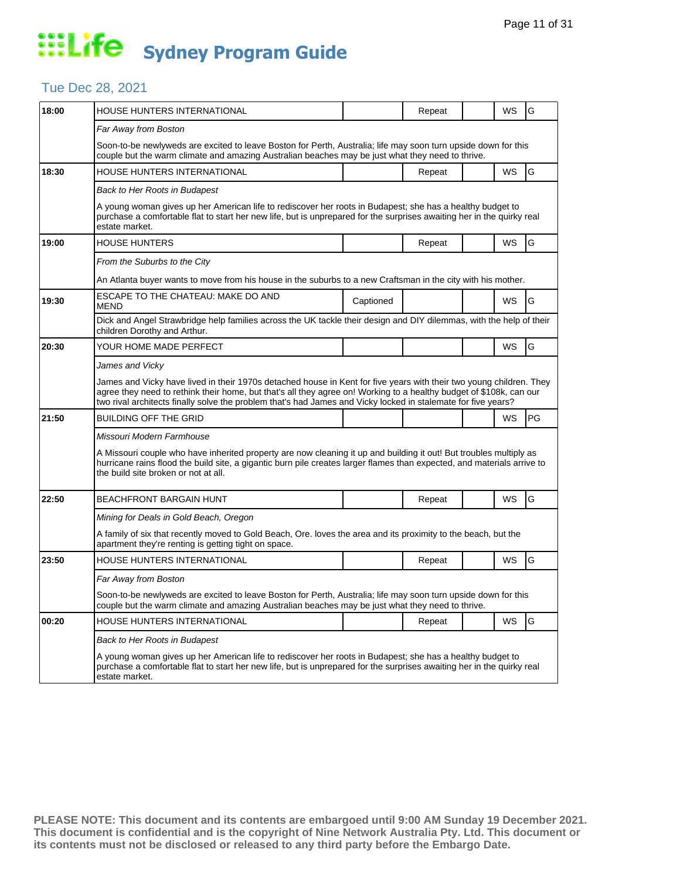## Tue Dec 28, 2021

| 18:00 | <b>HOUSE HUNTERS INTERNATIONAL</b>                                                                                                                                                                                                                                                                                                                          |           | Repeat |  | WS        | G  |  |  |  |
|-------|-------------------------------------------------------------------------------------------------------------------------------------------------------------------------------------------------------------------------------------------------------------------------------------------------------------------------------------------------------------|-----------|--------|--|-----------|----|--|--|--|
|       | Far Away from Boston                                                                                                                                                                                                                                                                                                                                        |           |        |  |           |    |  |  |  |
|       | Soon-to-be newlyweds are excited to leave Boston for Perth, Australia; life may soon turn upside down for this<br>couple but the warm climate and amazing Australian beaches may be just what they need to thrive.                                                                                                                                          |           |        |  |           |    |  |  |  |
| 18:30 | HOUSE HUNTERS INTERNATIONAL                                                                                                                                                                                                                                                                                                                                 |           | Repeat |  | WS        | G  |  |  |  |
|       | Back to Her Roots in Budapest                                                                                                                                                                                                                                                                                                                               |           |        |  |           |    |  |  |  |
|       | A young woman gives up her American life to rediscover her roots in Budapest; she has a healthy budget to<br>purchase a comfortable flat to start her new life, but is unprepared for the surprises awaiting her in the quirky real<br>estate market.                                                                                                       |           |        |  |           |    |  |  |  |
| 19:00 | <b>HOUSE HUNTERS</b>                                                                                                                                                                                                                                                                                                                                        |           | Repeat |  | WS        | G  |  |  |  |
|       | From the Suburbs to the City                                                                                                                                                                                                                                                                                                                                |           |        |  |           |    |  |  |  |
|       | An Atlanta buyer wants to move from his house in the suburbs to a new Craftsman in the city with his mother.                                                                                                                                                                                                                                                |           |        |  |           |    |  |  |  |
| 19:30 | ESCAPE TO THE CHATEAU: MAKE DO AND<br><b>MEND</b>                                                                                                                                                                                                                                                                                                           | Captioned |        |  | <b>WS</b> | G  |  |  |  |
|       | Dick and Angel Strawbridge help families across the UK tackle their design and DIY dilemmas, with the help of their<br>children Dorothy and Arthur.                                                                                                                                                                                                         |           |        |  |           |    |  |  |  |
| 20:30 | YOUR HOME MADE PERFECT                                                                                                                                                                                                                                                                                                                                      |           |        |  | WS        | G  |  |  |  |
|       | James and Vicky                                                                                                                                                                                                                                                                                                                                             |           |        |  |           |    |  |  |  |
|       | James and Vicky have lived in their 1970s detached house in Kent for five years with their two young children. They<br>agree they need to rethink their home, but that's all they agree on! Working to a healthy budget of \$108k, can our<br>two rival architects finally solve the problem that's had James and Vicky locked in stalemate for five years? |           |        |  |           |    |  |  |  |
| 21:50 | BUILDING OFF THE GRID                                                                                                                                                                                                                                                                                                                                       |           |        |  | WS        | PG |  |  |  |
|       | Missouri Modern Farmhouse                                                                                                                                                                                                                                                                                                                                   |           |        |  |           |    |  |  |  |
|       | A Missouri couple who have inherited property are now cleaning it up and building it out! But troubles multiply as<br>hurricane rains flood the build site, a gigantic burn pile creates larger flames than expected, and materials arrive to<br>the build site broken or not at all.                                                                       |           |        |  |           |    |  |  |  |
| 22:50 | <b>BEACHFRONT BARGAIN HUNT</b>                                                                                                                                                                                                                                                                                                                              |           | Repeat |  | WS        | G  |  |  |  |
|       | Mining for Deals in Gold Beach, Oregon                                                                                                                                                                                                                                                                                                                      |           |        |  |           |    |  |  |  |
|       | A family of six that recently moved to Gold Beach, Ore. loves the area and its proximity to the beach, but the<br>apartment they're renting is getting tight on space.                                                                                                                                                                                      |           |        |  |           |    |  |  |  |
| 23:50 | HOUSE HUNTERS INTERNATIONAL                                                                                                                                                                                                                                                                                                                                 |           | Repeat |  | WS.       | G  |  |  |  |
|       | Far Away from Boston                                                                                                                                                                                                                                                                                                                                        |           |        |  |           |    |  |  |  |
|       | Soon-to-be newlyweds are excited to leave Boston for Perth, Australia; life may soon turn upside down for this<br>couple but the warm climate and amazing Australian beaches may be just what they need to thrive.                                                                                                                                          |           |        |  |           |    |  |  |  |
| 00:20 | HOUSE HUNTERS INTERNATIONAL                                                                                                                                                                                                                                                                                                                                 |           | Repeat |  | WS        | G  |  |  |  |
|       | <b>Back to Her Roots in Budapest</b>                                                                                                                                                                                                                                                                                                                        |           |        |  |           |    |  |  |  |
|       | A young woman gives up her American life to rediscover her roots in Budapest; she has a healthy budget to<br>purchase a comfortable flat to start her new life, but is unprepared for the surprises awaiting her in the quirky real<br>estate market.                                                                                                       |           |        |  |           |    |  |  |  |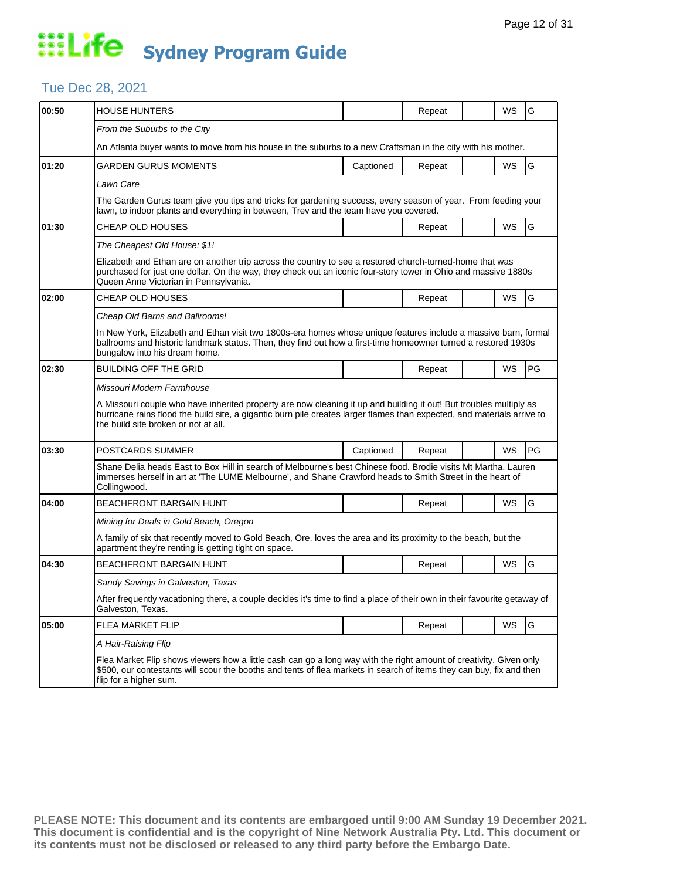## Tue Dec 28, 2021

| 00:50 | <b>HOUSE HUNTERS</b>                                                                                                                                                                                                                                                                  |           | Repeat |  | WS        | G         |  |  |  |
|-------|---------------------------------------------------------------------------------------------------------------------------------------------------------------------------------------------------------------------------------------------------------------------------------------|-----------|--------|--|-----------|-----------|--|--|--|
|       | From the Suburbs to the City                                                                                                                                                                                                                                                          |           |        |  |           |           |  |  |  |
|       | An Atlanta buyer wants to move from his house in the suburbs to a new Craftsman in the city with his mother.                                                                                                                                                                          |           |        |  |           |           |  |  |  |
| 01:20 | GARDEN GURUS MOMENTS                                                                                                                                                                                                                                                                  | Captioned | Repeat |  | <b>WS</b> | G         |  |  |  |
|       | Lawn Care                                                                                                                                                                                                                                                                             |           |        |  |           |           |  |  |  |
|       | The Garden Gurus team give you tips and tricks for gardening success, every season of year. From feeding your<br>lawn, to indoor plants and everything in between, Trev and the team have you covered.                                                                                |           |        |  |           |           |  |  |  |
| 01:30 | CHEAP OLD HOUSES                                                                                                                                                                                                                                                                      |           | Repeat |  | WS        | G         |  |  |  |
|       | The Cheapest Old House: \$1!                                                                                                                                                                                                                                                          |           |        |  |           |           |  |  |  |
|       | Elizabeth and Ethan are on another trip across the country to see a restored church-turned-home that was<br>purchased for just one dollar. On the way, they check out an iconic four-story tower in Ohio and massive 1880s<br>Queen Anne Victorian in Pennsylvania.                   |           |        |  |           |           |  |  |  |
| 02:00 | CHEAP OLD HOUSES                                                                                                                                                                                                                                                                      |           | Repeat |  | WS        | G         |  |  |  |
|       | Cheap Old Barns and Ballrooms!                                                                                                                                                                                                                                                        |           |        |  |           |           |  |  |  |
|       | In New York, Elizabeth and Ethan visit two 1800s-era homes whose unique features include a massive barn, formal<br>ballrooms and historic landmark status. Then, they find out how a first-time homeowner turned a restored 1930s<br>bungalow into his dream home.                    |           |        |  |           |           |  |  |  |
| 02:30 | <b>BUILDING OFF THE GRID</b>                                                                                                                                                                                                                                                          |           | Repeat |  | <b>WS</b> | <b>PG</b> |  |  |  |
|       | Missouri Modern Farmhouse                                                                                                                                                                                                                                                             |           |        |  |           |           |  |  |  |
|       | A Missouri couple who have inherited property are now cleaning it up and building it out! But troubles multiply as<br>hurricane rains flood the build site, a gigantic burn pile creates larger flames than expected, and materials arrive to<br>the build site broken or not at all. |           |        |  |           |           |  |  |  |
| 03:30 | POSTCARDS SUMMER                                                                                                                                                                                                                                                                      | Captioned | Repeat |  | <b>WS</b> | PG        |  |  |  |
|       | Shane Delia heads East to Box Hill in search of Melbourne's best Chinese food. Brodie visits Mt Martha. Lauren<br>immerses herself in art at 'The LUME Melbourne', and Shane Crawford heads to Smith Street in the heart of<br>Collingwood.                                           |           |        |  |           |           |  |  |  |
| 04:00 | <b>BEACHFRONT BARGAIN HUNT</b>                                                                                                                                                                                                                                                        |           | Repeat |  | WS        | G         |  |  |  |
|       | Mining for Deals in Gold Beach, Oregon                                                                                                                                                                                                                                                |           |        |  |           |           |  |  |  |
|       | A family of six that recently moved to Gold Beach, Ore. loves the area and its proximity to the beach, but the<br>apartment they're renting is getting tight on space.                                                                                                                |           |        |  |           |           |  |  |  |
| 04:30 | <b>BEACHFRONT BARGAIN HUNT</b>                                                                                                                                                                                                                                                        |           | Repeat |  | <b>WS</b> | G         |  |  |  |
|       | Sandy Savings in Galveston, Texas                                                                                                                                                                                                                                                     |           |        |  |           |           |  |  |  |
|       | After frequently vacationing there, a couple decides it's time to find a place of their own in their favourite getaway of<br>Galveston, Texas.                                                                                                                                        |           |        |  |           |           |  |  |  |
| 05:00 | FLEA MARKET FLIP                                                                                                                                                                                                                                                                      |           | Repeat |  | WS        | G         |  |  |  |
|       | A Hair-Raising Flip                                                                                                                                                                                                                                                                   |           |        |  |           |           |  |  |  |
|       | Flea Market Flip shows viewers how a little cash can go a long way with the right amount of creativity. Given only<br>\$500, our contestants will scour the booths and tents of flea markets in search of items they can buy, fix and then<br>flip for a higher sum.                  |           |        |  |           |           |  |  |  |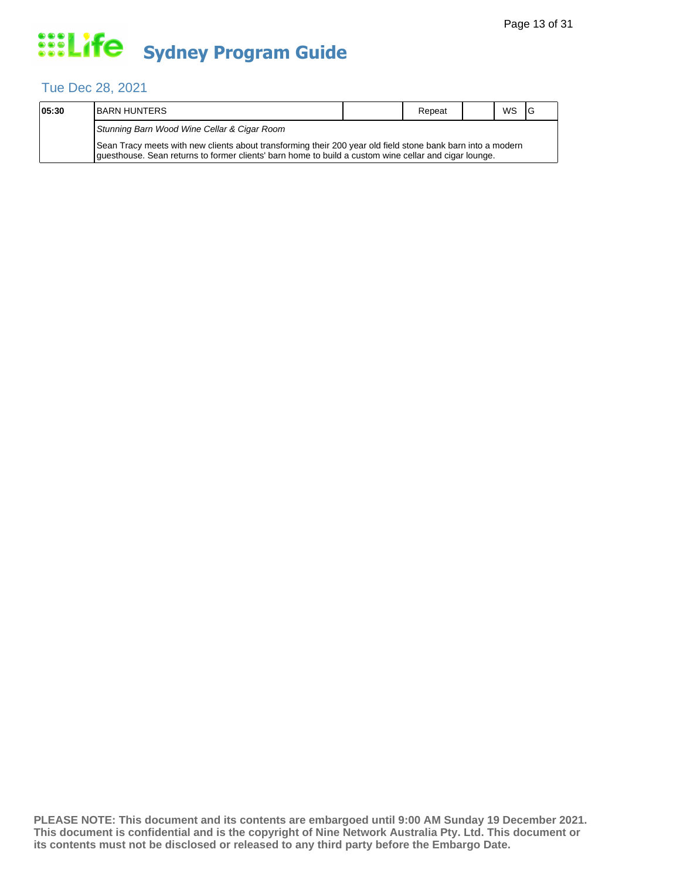## Tue Dec 28, 2021

| 05:30 | IBARN HUNTERS                                                                                                                                                                                                        |  | Repeat |  | WS | -lG |  |  |  |
|-------|----------------------------------------------------------------------------------------------------------------------------------------------------------------------------------------------------------------------|--|--------|--|----|-----|--|--|--|
|       | Stunning Barn Wood Wine Cellar & Cigar Room                                                                                                                                                                          |  |        |  |    |     |  |  |  |
|       | Sean Tracy meets with new clients about transforming their 200 year old field stone bank barn into a modern<br>guesthouse. Sean returns to former clients' barn home to build a custom wine cellar and cigar lounge. |  |        |  |    |     |  |  |  |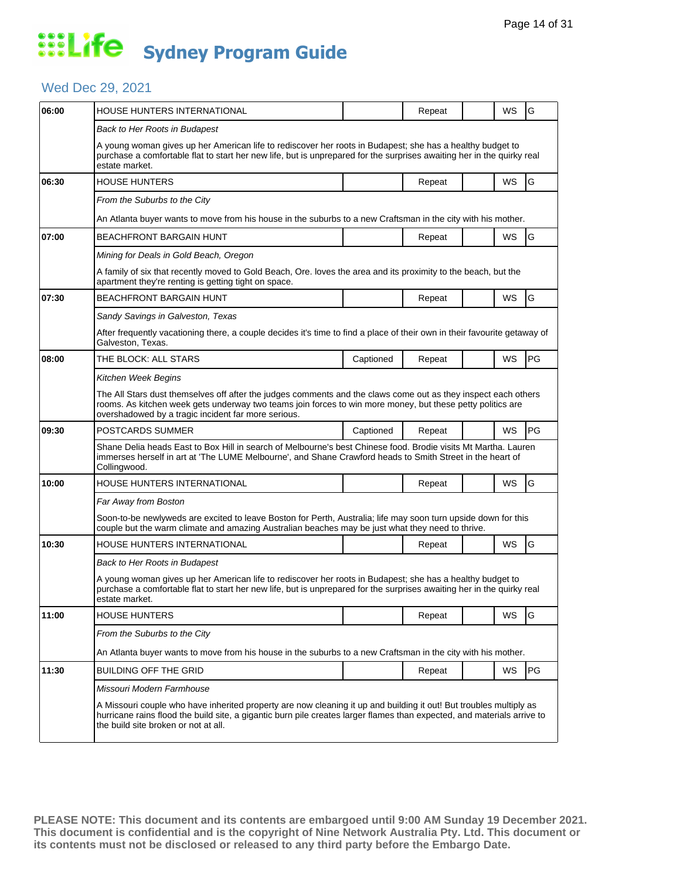## Wed Dec 29, 2021

| 06:00 | HOUSE HUNTERS INTERNATIONAL                                                                                                                                                                                                                                                           |           | Repeat |  | WS        | G         |  |  |
|-------|---------------------------------------------------------------------------------------------------------------------------------------------------------------------------------------------------------------------------------------------------------------------------------------|-----------|--------|--|-----------|-----------|--|--|
|       | Back to Her Roots in Budapest                                                                                                                                                                                                                                                         |           |        |  |           |           |  |  |
|       | A young woman gives up her American life to rediscover her roots in Budapest; she has a healthy budget to<br>purchase a comfortable flat to start her new life, but is unprepared for the surprises awaiting her in the quirky real<br>estate market.                                 |           |        |  |           |           |  |  |
| 06:30 | <b>HOUSE HUNTERS</b>                                                                                                                                                                                                                                                                  |           | Repeat |  | <b>WS</b> | G         |  |  |
|       | From the Suburbs to the City                                                                                                                                                                                                                                                          |           |        |  |           |           |  |  |
|       | An Atlanta buyer wants to move from his house in the suburbs to a new Craftsman in the city with his mother.                                                                                                                                                                          |           |        |  |           |           |  |  |
| 07:00 | BEACHFRONT BARGAIN HUNT                                                                                                                                                                                                                                                               |           | Repeat |  | WS        | G         |  |  |
|       | Mining for Deals in Gold Beach, Oregon                                                                                                                                                                                                                                                |           |        |  |           |           |  |  |
|       | A family of six that recently moved to Gold Beach, Ore. loves the area and its proximity to the beach, but the<br>apartment they're renting is getting tight on space.                                                                                                                |           |        |  |           |           |  |  |
| 07:30 | <b>BEACHFRONT BARGAIN HUNT</b>                                                                                                                                                                                                                                                        |           | Repeat |  | WS        | G         |  |  |
|       | Sandy Savings in Galveston, Texas                                                                                                                                                                                                                                                     |           |        |  |           |           |  |  |
|       | After frequently vacationing there, a couple decides it's time to find a place of their own in their favourite getaway of<br>Galveston, Texas.                                                                                                                                        |           |        |  |           |           |  |  |
| 08:00 | THE BLOCK: ALL STARS                                                                                                                                                                                                                                                                  | Captioned | Repeat |  | WS        | PG        |  |  |
|       | Kitchen Week Begins                                                                                                                                                                                                                                                                   |           |        |  |           |           |  |  |
|       | The All Stars dust themselves off after the judges comments and the claws come out as they inspect each others<br>rooms. As kitchen week gets underway two teams join forces to win more money, but these petty politics are<br>overshadowed by a tragic incident far more serious.   |           |        |  |           |           |  |  |
| 09:30 | POSTCARDS SUMMER                                                                                                                                                                                                                                                                      | Captioned | Repeat |  | <b>WS</b> | <b>PG</b> |  |  |
|       | Shane Delia heads East to Box Hill in search of Melbourne's best Chinese food. Brodie visits Mt Martha. Lauren<br>immerses herself in art at 'The LUME Melbourne', and Shane Crawford heads to Smith Street in the heart of<br>Collingwood.                                           |           |        |  |           |           |  |  |
| 10:00 | HOUSE HUNTERS INTERNATIONAL                                                                                                                                                                                                                                                           |           | Repeat |  | <b>WS</b> | G         |  |  |
|       | Far Away from Boston                                                                                                                                                                                                                                                                  |           |        |  |           |           |  |  |
|       | Soon-to-be newlyweds are excited to leave Boston for Perth, Australia; life may soon turn upside down for this<br>couple but the warm climate and amazing Australian beaches may be just what they need to thrive.                                                                    |           |        |  |           |           |  |  |
| 10:30 | HOUSE HUNTERS INTERNATIONAL                                                                                                                                                                                                                                                           |           | Repeat |  | WS        | G         |  |  |
|       | Back to Her Roots in Budapest                                                                                                                                                                                                                                                         |           |        |  |           |           |  |  |
|       | A young woman gives up her American life to rediscover her roots in Budapest; she has a healthy budget to<br>purchase a comfortable flat to start her new life, but is unprepared for the surprises awaiting her in the quirky real<br>estate market.                                 |           |        |  |           |           |  |  |
| 11:00 | <b>HOUSE HUNTERS</b>                                                                                                                                                                                                                                                                  |           | Repeat |  | <b>WS</b> | G         |  |  |
|       | From the Suburbs to the City                                                                                                                                                                                                                                                          |           |        |  |           |           |  |  |
|       | An Atlanta buyer wants to move from his house in the suburbs to a new Craftsman in the city with his mother.                                                                                                                                                                          |           |        |  |           |           |  |  |
| 11:30 | <b>BUILDING OFF THE GRID</b>                                                                                                                                                                                                                                                          |           | Repeat |  | WS        | PG        |  |  |
|       | Missouri Modern Farmhouse                                                                                                                                                                                                                                                             |           |        |  |           |           |  |  |
|       | A Missouri couple who have inherited property are now cleaning it up and building it out! But troubles multiply as<br>hurricane rains flood the build site, a gigantic burn pile creates larger flames than expected, and materials arrive to<br>the build site broken or not at all. |           |        |  |           |           |  |  |
|       |                                                                                                                                                                                                                                                                                       |           |        |  |           |           |  |  |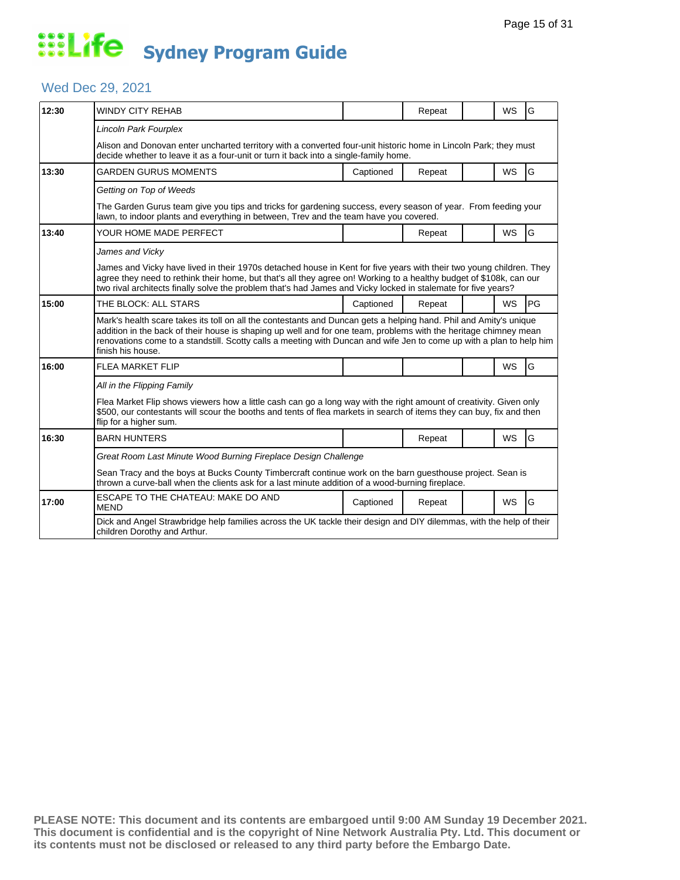## Wed Dec 29, 2021

| 12:30 | <b>WINDY CITY REHAB</b>                                                                                                                                                                                                                                                                                                                                                            |           | Repeat |  | <b>WS</b> | G         |  |  |
|-------|------------------------------------------------------------------------------------------------------------------------------------------------------------------------------------------------------------------------------------------------------------------------------------------------------------------------------------------------------------------------------------|-----------|--------|--|-----------|-----------|--|--|
|       | Lincoln Park Fourplex                                                                                                                                                                                                                                                                                                                                                              |           |        |  |           |           |  |  |
|       | Alison and Donovan enter uncharted territory with a converted four-unit historic home in Lincoln Park; they must<br>decide whether to leave it as a four-unit or turn it back into a single-family home.                                                                                                                                                                           |           |        |  |           |           |  |  |
| 13:30 | <b>GARDEN GURUS MOMENTS</b>                                                                                                                                                                                                                                                                                                                                                        | Captioned | Repeat |  | <b>WS</b> | G         |  |  |
|       | Getting on Top of Weeds                                                                                                                                                                                                                                                                                                                                                            |           |        |  |           |           |  |  |
|       | The Garden Gurus team give you tips and tricks for gardening success, every season of year. From feeding your<br>lawn, to indoor plants and everything in between, Trev and the team have you covered.                                                                                                                                                                             |           |        |  |           |           |  |  |
| 13:40 | YOUR HOME MADE PERFECT                                                                                                                                                                                                                                                                                                                                                             |           | Repeat |  | <b>WS</b> | G         |  |  |
|       | James and Vicky                                                                                                                                                                                                                                                                                                                                                                    |           |        |  |           |           |  |  |
|       | James and Vicky have lived in their 1970s detached house in Kent for five years with their two young children. They<br>agree they need to rethink their home, but that's all they agree on! Working to a healthy budget of \$108k, can our<br>two rival architects finally solve the problem that's had James and Vicky locked in stalemate for five years?                        |           |        |  |           |           |  |  |
| 15:00 | THE BLOCK: ALL STARS                                                                                                                                                                                                                                                                                                                                                               | Captioned | Repeat |  | <b>WS</b> | <b>PG</b> |  |  |
|       | Mark's health scare takes its toll on all the contestants and Duncan gets a helping hand. Phil and Amity's unique<br>addition in the back of their house is shaping up well and for one team, problems with the heritage chimney mean<br>renovations come to a standstill. Scotty calls a meeting with Duncan and wife Jen to come up with a plan to help him<br>finish his house. |           |        |  |           |           |  |  |
| 16:00 | <b>FLEA MARKET FLIP</b>                                                                                                                                                                                                                                                                                                                                                            |           |        |  | WS        | G         |  |  |
|       | All in the Flipping Family                                                                                                                                                                                                                                                                                                                                                         |           |        |  |           |           |  |  |
|       | Flea Market Flip shows viewers how a little cash can go a long way with the right amount of creativity. Given only<br>\$500, our contestants will scour the booths and tents of flea markets in search of items they can buy, fix and then<br>flip for a higher sum.                                                                                                               |           |        |  |           |           |  |  |
| 16:30 | <b>BARN HUNTERS</b>                                                                                                                                                                                                                                                                                                                                                                |           | Repeat |  | <b>WS</b> | G         |  |  |
|       | Great Room Last Minute Wood Burning Fireplace Design Challenge                                                                                                                                                                                                                                                                                                                     |           |        |  |           |           |  |  |
|       | Sean Tracy and the boys at Bucks County Timbercraft continue work on the barn guesthouse project. Sean is<br>thrown a curve-ball when the clients ask for a last minute addition of a wood-burning fireplace.                                                                                                                                                                      |           |        |  |           |           |  |  |
| 17:00 | ESCAPE TO THE CHATEAU: MAKE DO AND<br><b>MEND</b>                                                                                                                                                                                                                                                                                                                                  | Captioned | Repeat |  | <b>WS</b> | G         |  |  |
|       | Dick and Angel Strawbridge help families across the UK tackle their design and DIY dilemmas, with the help of their<br>children Dorothy and Arthur.                                                                                                                                                                                                                                |           |        |  |           |           |  |  |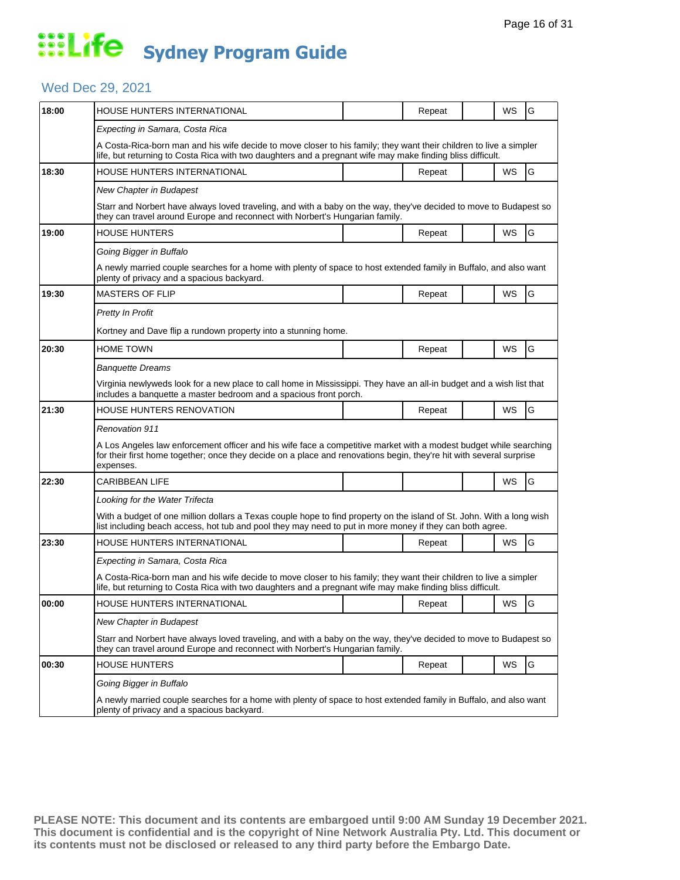## Wed Dec 29, 2021

| HOUSE HUNTERS INTERNATIONAL                                                                                                                                                                                                      |  | Repeat                                                                                                                              |                                                                              | WS        | G                                                                                                                                                                                                                                                                                                                                                                                                                                                                                                                                                                                                                                                                                                                          |  |  |  |
|----------------------------------------------------------------------------------------------------------------------------------------------------------------------------------------------------------------------------------|--|-------------------------------------------------------------------------------------------------------------------------------------|------------------------------------------------------------------------------|-----------|----------------------------------------------------------------------------------------------------------------------------------------------------------------------------------------------------------------------------------------------------------------------------------------------------------------------------------------------------------------------------------------------------------------------------------------------------------------------------------------------------------------------------------------------------------------------------------------------------------------------------------------------------------------------------------------------------------------------------|--|--|--|
| Expecting in Samara, Costa Rica                                                                                                                                                                                                  |  |                                                                                                                                     |                                                                              |           |                                                                                                                                                                                                                                                                                                                                                                                                                                                                                                                                                                                                                                                                                                                            |  |  |  |
| A Costa-Rica-born man and his wife decide to move closer to his family; they want their children to live a simpler<br>life, but returning to Costa Rica with two daughters and a pregnant wife may make finding bliss difficult. |  |                                                                                                                                     |                                                                              |           |                                                                                                                                                                                                                                                                                                                                                                                                                                                                                                                                                                                                                                                                                                                            |  |  |  |
| HOUSE HUNTERS INTERNATIONAL                                                                                                                                                                                                      |  | Repeat                                                                                                                              |                                                                              | <b>WS</b> | G                                                                                                                                                                                                                                                                                                                                                                                                                                                                                                                                                                                                                                                                                                                          |  |  |  |
| New Chapter in Budapest                                                                                                                                                                                                          |  |                                                                                                                                     |                                                                              |           |                                                                                                                                                                                                                                                                                                                                                                                                                                                                                                                                                                                                                                                                                                                            |  |  |  |
|                                                                                                                                                                                                                                  |  |                                                                                                                                     |                                                                              |           |                                                                                                                                                                                                                                                                                                                                                                                                                                                                                                                                                                                                                                                                                                                            |  |  |  |
| <b>HOUSE HUNTERS</b>                                                                                                                                                                                                             |  | Repeat                                                                                                                              |                                                                              | WS        | G                                                                                                                                                                                                                                                                                                                                                                                                                                                                                                                                                                                                                                                                                                                          |  |  |  |
| Going Bigger in Buffalo                                                                                                                                                                                                          |  |                                                                                                                                     |                                                                              |           |                                                                                                                                                                                                                                                                                                                                                                                                                                                                                                                                                                                                                                                                                                                            |  |  |  |
| A newly married couple searches for a home with plenty of space to host extended family in Buffalo, and also want<br>plenty of privacy and a spacious backyard.                                                                  |  |                                                                                                                                     |                                                                              |           |                                                                                                                                                                                                                                                                                                                                                                                                                                                                                                                                                                                                                                                                                                                            |  |  |  |
| <b>MASTERS OF FLIP</b>                                                                                                                                                                                                           |  | Repeat                                                                                                                              |                                                                              | WS        | G                                                                                                                                                                                                                                                                                                                                                                                                                                                                                                                                                                                                                                                                                                                          |  |  |  |
| <b>Pretty In Profit</b>                                                                                                                                                                                                          |  |                                                                                                                                     |                                                                              |           |                                                                                                                                                                                                                                                                                                                                                                                                                                                                                                                                                                                                                                                                                                                            |  |  |  |
|                                                                                                                                                                                                                                  |  |                                                                                                                                     |                                                                              |           |                                                                                                                                                                                                                                                                                                                                                                                                                                                                                                                                                                                                                                                                                                                            |  |  |  |
| <b>HOME TOWN</b>                                                                                                                                                                                                                 |  | Repeat                                                                                                                              |                                                                              | WS        | G                                                                                                                                                                                                                                                                                                                                                                                                                                                                                                                                                                                                                                                                                                                          |  |  |  |
| Banquette Dreams                                                                                                                                                                                                                 |  |                                                                                                                                     |                                                                              |           |                                                                                                                                                                                                                                                                                                                                                                                                                                                                                                                                                                                                                                                                                                                            |  |  |  |
|                                                                                                                                                                                                                                  |  |                                                                                                                                     |                                                                              |           |                                                                                                                                                                                                                                                                                                                                                                                                                                                                                                                                                                                                                                                                                                                            |  |  |  |
| HOUSE HUNTERS RENOVATION                                                                                                                                                                                                         |  | Repeat                                                                                                                              |                                                                              | WS        | G                                                                                                                                                                                                                                                                                                                                                                                                                                                                                                                                                                                                                                                                                                                          |  |  |  |
| Renovation 911                                                                                                                                                                                                                   |  |                                                                                                                                     |                                                                              |           |                                                                                                                                                                                                                                                                                                                                                                                                                                                                                                                                                                                                                                                                                                                            |  |  |  |
| expenses.                                                                                                                                                                                                                        |  |                                                                                                                                     |                                                                              |           |                                                                                                                                                                                                                                                                                                                                                                                                                                                                                                                                                                                                                                                                                                                            |  |  |  |
| CARIBBEAN LIFE                                                                                                                                                                                                                   |  |                                                                                                                                     |                                                                              | WS        | G                                                                                                                                                                                                                                                                                                                                                                                                                                                                                                                                                                                                                                                                                                                          |  |  |  |
| Looking for the Water Trifecta                                                                                                                                                                                                   |  |                                                                                                                                     |                                                                              |           |                                                                                                                                                                                                                                                                                                                                                                                                                                                                                                                                                                                                                                                                                                                            |  |  |  |
|                                                                                                                                                                                                                                  |  |                                                                                                                                     |                                                                              |           |                                                                                                                                                                                                                                                                                                                                                                                                                                                                                                                                                                                                                                                                                                                            |  |  |  |
| HOUSE HUNTERS INTERNATIONAL                                                                                                                                                                                                      |  | Repeat                                                                                                                              |                                                                              | WS        | G                                                                                                                                                                                                                                                                                                                                                                                                                                                                                                                                                                                                                                                                                                                          |  |  |  |
| Expecting in Samara, Costa Rica                                                                                                                                                                                                  |  |                                                                                                                                     |                                                                              |           |                                                                                                                                                                                                                                                                                                                                                                                                                                                                                                                                                                                                                                                                                                                            |  |  |  |
| A Costa-Rica-born man and his wife decide to move closer to his family; they want their children to live a simpler<br>life, but returning to Costa Rica with two daughters and a pregnant wife may make finding bliss difficult. |  |                                                                                                                                     |                                                                              |           |                                                                                                                                                                                                                                                                                                                                                                                                                                                                                                                                                                                                                                                                                                                            |  |  |  |
| <b>HOUSE HUNTERS INTERNATIONAL</b>                                                                                                                                                                                               |  | Repeat                                                                                                                              |                                                                              | WS        | G                                                                                                                                                                                                                                                                                                                                                                                                                                                                                                                                                                                                                                                                                                                          |  |  |  |
| New Chapter in Budapest                                                                                                                                                                                                          |  |                                                                                                                                     |                                                                              |           |                                                                                                                                                                                                                                                                                                                                                                                                                                                                                                                                                                                                                                                                                                                            |  |  |  |
| Starr and Norbert have always loved traveling, and with a baby on the way, they've decided to move to Budapest so<br>they can travel around Europe and reconnect with Norbert's Hungarian family.                                |  |                                                                                                                                     |                                                                              |           |                                                                                                                                                                                                                                                                                                                                                                                                                                                                                                                                                                                                                                                                                                                            |  |  |  |
| <b>HOUSE HUNTERS</b>                                                                                                                                                                                                             |  | Repeat                                                                                                                              |                                                                              | WS        | G                                                                                                                                                                                                                                                                                                                                                                                                                                                                                                                                                                                                                                                                                                                          |  |  |  |
| Going Bigger in Buffalo                                                                                                                                                                                                          |  |                                                                                                                                     |                                                                              |           |                                                                                                                                                                                                                                                                                                                                                                                                                                                                                                                                                                                                                                                                                                                            |  |  |  |
| A newly married couple searches for a home with plenty of space to host extended family in Buffalo, and also want<br>plenty of privacy and a spacious backyard.                                                                  |  |                                                                                                                                     |                                                                              |           |                                                                                                                                                                                                                                                                                                                                                                                                                                                                                                                                                                                                                                                                                                                            |  |  |  |
|                                                                                                                                                                                                                                  |  | Kortney and Dave flip a rundown property into a stunning home.<br>includes a banquette a master bedroom and a spacious front porch. | they can travel around Europe and reconnect with Norbert's Hungarian family. |           | Starr and Norbert have always loved traveling, and with a baby on the way, they've decided to move to Budapest so<br>Virginia newlyweds look for a new place to call home in Mississippi. They have an all-in budget and a wish list that<br>A Los Angeles law enforcement officer and his wife face a competitive market with a modest budget while searching<br>for their first home together; once they decide on a place and renovations begin, they're hit with several surprise<br>With a budget of one million dollars a Texas couple hope to find property on the island of St. John. With a long wish<br>list including beach access, hot tub and pool they may need to put in more money if they can both agree. |  |  |  |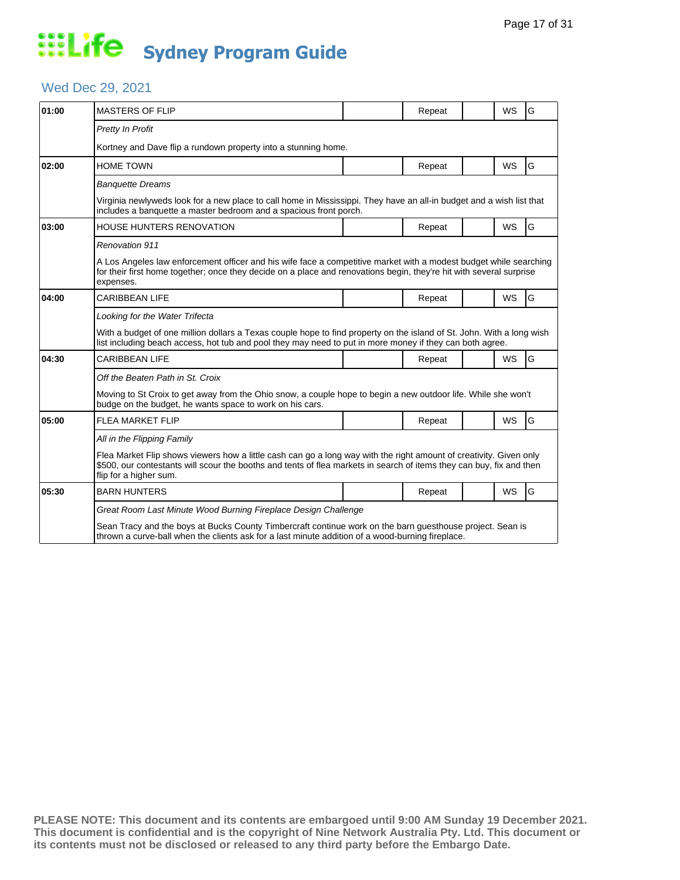## Wed Dec 29, 2021

| 01:00 | <b>MASTERS OF FLIP</b>                                                                                                                                                                                                                                               |  | Repeat |  | <b>WS</b> | G |  |  |  |
|-------|----------------------------------------------------------------------------------------------------------------------------------------------------------------------------------------------------------------------------------------------------------------------|--|--------|--|-----------|---|--|--|--|
|       | Pretty In Profit                                                                                                                                                                                                                                                     |  |        |  |           |   |  |  |  |
|       | Kortney and Dave flip a rundown property into a stunning home.                                                                                                                                                                                                       |  |        |  |           |   |  |  |  |
| 02:00 | <b>HOME TOWN</b>                                                                                                                                                                                                                                                     |  | Repeat |  | <b>WS</b> | G |  |  |  |
|       | <b>Banquette Dreams</b>                                                                                                                                                                                                                                              |  |        |  |           |   |  |  |  |
|       | Virginia newlyweds look for a new place to call home in Mississippi. They have an all-in budget and a wish list that<br>includes a banquette a master bedroom and a spacious front porch.                                                                            |  |        |  |           |   |  |  |  |
| 03:00 | <b>HOUSE HUNTERS RENOVATION</b>                                                                                                                                                                                                                                      |  | Repeat |  | <b>WS</b> | G |  |  |  |
|       | <b>Renovation 911</b>                                                                                                                                                                                                                                                |  |        |  |           |   |  |  |  |
|       | A Los Angeles law enforcement officer and his wife face a competitive market with a modest budget while searching<br>for their first home together; once they decide on a place and renovations begin, they're hit with several surprise<br>expenses.                |  |        |  |           |   |  |  |  |
| 04:00 | <b>CARIBBEAN LIFE</b>                                                                                                                                                                                                                                                |  | Repeat |  | <b>WS</b> | G |  |  |  |
|       | Looking for the Water Trifecta                                                                                                                                                                                                                                       |  |        |  |           |   |  |  |  |
|       | With a budget of one million dollars a Texas couple hope to find property on the island of St. John. With a long wish<br>list including beach access, hot tub and pool they may need to put in more money if they can both agree.                                    |  |        |  |           |   |  |  |  |
| 04:30 | <b>CARIBBEAN LIFE</b>                                                                                                                                                                                                                                                |  | Repeat |  | WS        | G |  |  |  |
|       | Off the Beaten Path in St. Croix                                                                                                                                                                                                                                     |  |        |  |           |   |  |  |  |
|       | Moving to St Croix to get away from the Ohio snow, a couple hope to begin a new outdoor life. While she won't<br>budge on the budget, he wants space to work on his cars.                                                                                            |  |        |  |           |   |  |  |  |
| 05:00 | <b>FLEA MARKET FLIP</b>                                                                                                                                                                                                                                              |  | Repeat |  | WS        | G |  |  |  |
|       | All in the Flipping Family                                                                                                                                                                                                                                           |  |        |  |           |   |  |  |  |
|       | Flea Market Flip shows viewers how a little cash can go a long way with the right amount of creativity. Given only<br>\$500, our contestants will scour the booths and tents of flea markets in search of items they can buy, fix and then<br>flip for a higher sum. |  |        |  |           |   |  |  |  |
| 05:30 | <b>BARN HUNTERS</b>                                                                                                                                                                                                                                                  |  | Repeat |  | <b>WS</b> | G |  |  |  |
|       | Great Room Last Minute Wood Burning Fireplace Design Challenge                                                                                                                                                                                                       |  |        |  |           |   |  |  |  |
|       | Sean Tracy and the boys at Bucks County Timbercraft continue work on the barn guesthouse project. Sean is<br>thrown a curve-ball when the clients ask for a last minute addition of a wood-burning fireplace.                                                        |  |        |  |           |   |  |  |  |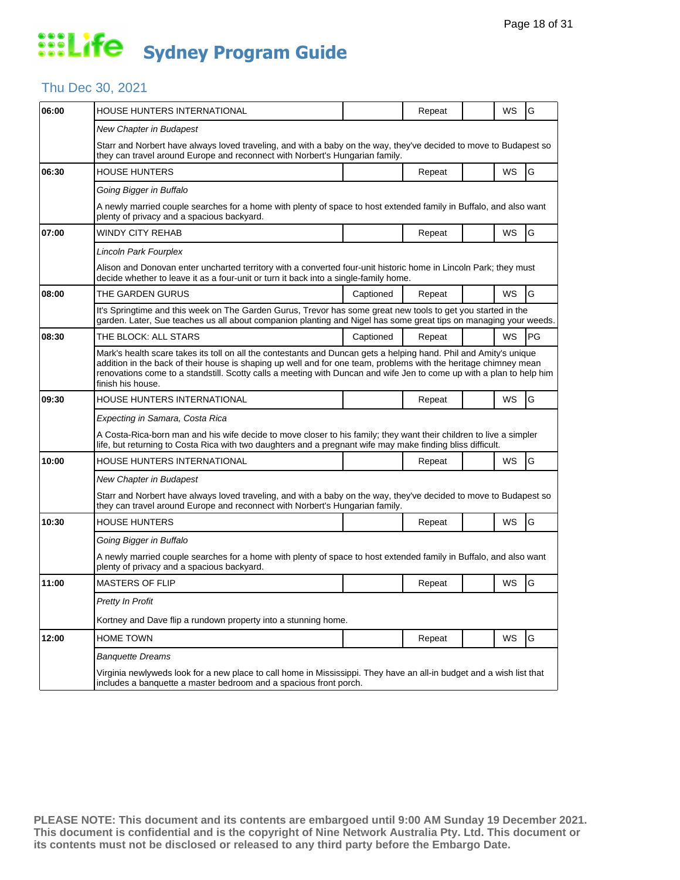#### Thu Dec 30, 2021

| 06:00 | HOUSE HUNTERS INTERNATIONAL                                                                                                                                                                                                                                                                                                                                                        |           | Repeat |  | WS | G  |  |  |  |
|-------|------------------------------------------------------------------------------------------------------------------------------------------------------------------------------------------------------------------------------------------------------------------------------------------------------------------------------------------------------------------------------------|-----------|--------|--|----|----|--|--|--|
|       | New Chapter in Budapest                                                                                                                                                                                                                                                                                                                                                            |           |        |  |    |    |  |  |  |
|       | Starr and Norbert have always loved traveling, and with a baby on the way, they've decided to move to Budapest so<br>they can travel around Europe and reconnect with Norbert's Hungarian family.                                                                                                                                                                                  |           |        |  |    |    |  |  |  |
| 06:30 | <b>HOUSE HUNTERS</b>                                                                                                                                                                                                                                                                                                                                                               |           | Repeat |  | WS | G  |  |  |  |
|       | Going Bigger in Buffalo                                                                                                                                                                                                                                                                                                                                                            |           |        |  |    |    |  |  |  |
|       | A newly married couple searches for a home with plenty of space to host extended family in Buffalo, and also want<br>plenty of privacy and a spacious backyard.                                                                                                                                                                                                                    |           |        |  |    |    |  |  |  |
| 07:00 | WINDY CITY REHAB                                                                                                                                                                                                                                                                                                                                                                   |           | Repeat |  | WS | G  |  |  |  |
|       | Lincoln Park Fourplex                                                                                                                                                                                                                                                                                                                                                              |           |        |  |    |    |  |  |  |
|       | Alison and Donovan enter uncharted territory with a converted four-unit historic home in Lincoln Park; they must<br>decide whether to leave it as a four-unit or turn it back into a single-family home.                                                                                                                                                                           |           |        |  |    |    |  |  |  |
| 08:00 | THE GARDEN GURUS                                                                                                                                                                                                                                                                                                                                                                   | Captioned | Repeat |  | WS | G  |  |  |  |
|       | It's Springtime and this week on The Garden Gurus, Trevor has some great new tools to get you started in the<br>garden. Later, Sue teaches us all about companion planting and Nigel has some great tips on managing your weeds.                                                                                                                                                   |           |        |  |    |    |  |  |  |
| 08:30 | THE BLOCK: ALL STARS                                                                                                                                                                                                                                                                                                                                                               | Captioned | Repeat |  | WS | PG |  |  |  |
|       | Mark's health scare takes its toll on all the contestants and Duncan gets a helping hand. Phil and Amity's unique<br>addition in the back of their house is shaping up well and for one team, problems with the heritage chimney mean<br>renovations come to a standstill. Scotty calls a meeting with Duncan and wife Jen to come up with a plan to help him<br>finish his house. |           |        |  |    |    |  |  |  |
| 09:30 | HOUSE HUNTERS INTERNATIONAL                                                                                                                                                                                                                                                                                                                                                        |           | Repeat |  | WS | G  |  |  |  |
|       | Expecting in Samara, Costa Rica                                                                                                                                                                                                                                                                                                                                                    |           |        |  |    |    |  |  |  |
|       | A Costa-Rica-born man and his wife decide to move closer to his family; they want their children to live a simpler<br>life, but returning to Costa Rica with two daughters and a pregnant wife may make finding bliss difficult.                                                                                                                                                   |           |        |  |    |    |  |  |  |
| 10:00 | HOUSE HUNTERS INTERNATIONAL                                                                                                                                                                                                                                                                                                                                                        |           | Repeat |  | WS | G  |  |  |  |
|       | New Chapter in Budapest                                                                                                                                                                                                                                                                                                                                                            |           |        |  |    |    |  |  |  |
|       | Starr and Norbert have always loved traveling, and with a baby on the way, they've decided to move to Budapest so<br>they can travel around Europe and reconnect with Norbert's Hungarian family.                                                                                                                                                                                  |           |        |  |    |    |  |  |  |
| 10:30 | <b>HOUSE HUNTERS</b>                                                                                                                                                                                                                                                                                                                                                               |           | Repeat |  | WS | G  |  |  |  |
|       | Going Bigger in Buffalo                                                                                                                                                                                                                                                                                                                                                            |           |        |  |    |    |  |  |  |
|       | A newly married couple searches for a home with plenty of space to host extended family in Buffalo, and also want<br>plenty of privacy and a spacious backyard.                                                                                                                                                                                                                    |           |        |  |    |    |  |  |  |
| 11:00 | <b>MASTERS OF FLIP</b>                                                                                                                                                                                                                                                                                                                                                             |           | Repeat |  | WS | G  |  |  |  |
|       | Pretty In Profit                                                                                                                                                                                                                                                                                                                                                                   |           |        |  |    |    |  |  |  |
|       | Kortney and Dave flip a rundown property into a stunning home.                                                                                                                                                                                                                                                                                                                     |           |        |  |    |    |  |  |  |
| 12:00 | <b>HOME TOWN</b>                                                                                                                                                                                                                                                                                                                                                                   |           | Repeat |  | WS | G  |  |  |  |
|       | <b>Banquette Dreams</b>                                                                                                                                                                                                                                                                                                                                                            |           |        |  |    |    |  |  |  |
|       | Virginia newlyweds look for a new place to call home in Mississippi. They have an all-in budget and a wish list that<br>includes a banquette a master bedroom and a spacious front porch.                                                                                                                                                                                          |           |        |  |    |    |  |  |  |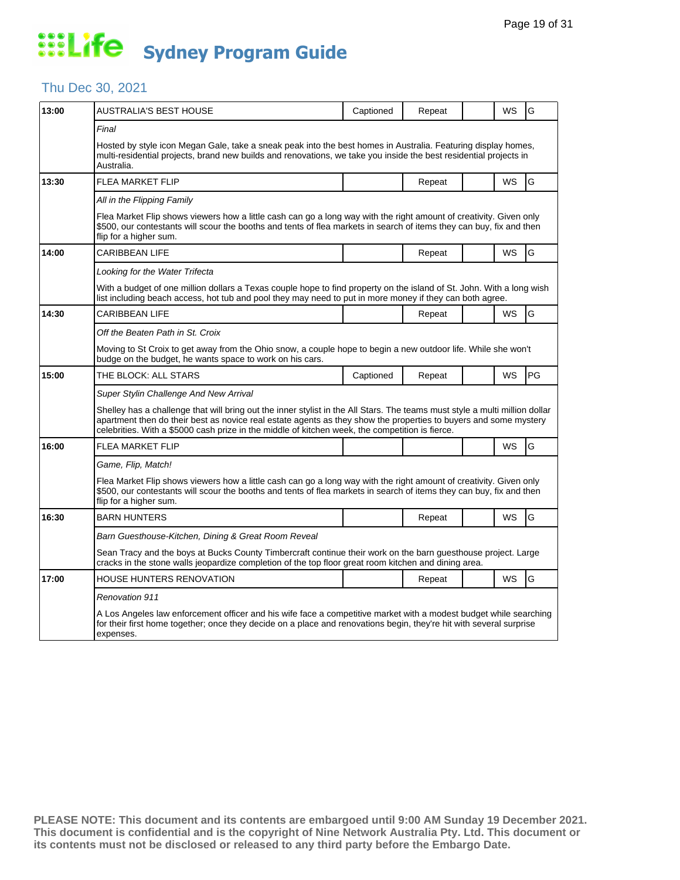## Thu Dec 30, 2021

| 13:00 | AUSTRALIA'S BEST HOUSE                                                                                                                                                                                                                                                                                                                             | Captioned | Repeat |  | WS        | G         |  |  |  |
|-------|----------------------------------------------------------------------------------------------------------------------------------------------------------------------------------------------------------------------------------------------------------------------------------------------------------------------------------------------------|-----------|--------|--|-----------|-----------|--|--|--|
|       | Final                                                                                                                                                                                                                                                                                                                                              |           |        |  |           |           |  |  |  |
|       | Hosted by style icon Megan Gale, take a sneak peak into the best homes in Australia. Featuring display homes,<br>multi-residential projects, brand new builds and renovations, we take you inside the best residential projects in<br>Australia.                                                                                                   |           |        |  |           |           |  |  |  |
| 13:30 | <b>FLEA MARKET FLIP</b>                                                                                                                                                                                                                                                                                                                            |           | Repeat |  | WS        | G         |  |  |  |
|       | All in the Flipping Family                                                                                                                                                                                                                                                                                                                         |           |        |  |           |           |  |  |  |
|       | Flea Market Flip shows viewers how a little cash can go a long way with the right amount of creativity. Given only<br>\$500, our contestants will scour the booths and tents of flea markets in search of items they can buy, fix and then<br>flip for a higher sum.                                                                               |           |        |  |           |           |  |  |  |
| 14:00 | <b>CARIBBEAN LIFE</b>                                                                                                                                                                                                                                                                                                                              |           | Repeat |  | WS        | G         |  |  |  |
|       | Looking for the Water Trifecta                                                                                                                                                                                                                                                                                                                     |           |        |  |           |           |  |  |  |
|       | With a budget of one million dollars a Texas couple hope to find property on the island of St. John. With a long wish<br>list including beach access, hot tub and pool they may need to put in more money if they can both agree.                                                                                                                  |           |        |  |           |           |  |  |  |
| 14:30 | <b>CARIBBEAN LIFE</b>                                                                                                                                                                                                                                                                                                                              |           | Repeat |  | WS        | G         |  |  |  |
|       | Off the Beaten Path in St. Croix                                                                                                                                                                                                                                                                                                                   |           |        |  |           |           |  |  |  |
|       | Moving to St Croix to get away from the Ohio snow, a couple hope to begin a new outdoor life. While she won't<br>budge on the budget, he wants space to work on his cars.                                                                                                                                                                          |           |        |  |           |           |  |  |  |
| 15:00 | THE BLOCK: ALL STARS                                                                                                                                                                                                                                                                                                                               | Captioned | Repeat |  | WS        | <b>PG</b> |  |  |  |
|       | Super Stylin Challenge And New Arrival                                                                                                                                                                                                                                                                                                             |           |        |  |           |           |  |  |  |
|       | Shelley has a challenge that will bring out the inner stylist in the All Stars. The teams must style a multi million dollar<br>apartment then do their best as novice real estate agents as they show the properties to buyers and some mystery<br>celebrities. With a \$5000 cash prize in the middle of kitchen week, the competition is fierce. |           |        |  |           |           |  |  |  |
| 16:00 | <b>FLEA MARKET FLIP</b>                                                                                                                                                                                                                                                                                                                            |           |        |  | WS        | G         |  |  |  |
|       | Game, Flip, Match!                                                                                                                                                                                                                                                                                                                                 |           |        |  |           |           |  |  |  |
|       | Flea Market Flip shows viewers how a little cash can go a long way with the right amount of creativity. Given only<br>\$500, our contestants will scour the booths and tents of flea markets in search of items they can buy, fix and then<br>flip for a higher sum.                                                                               |           |        |  |           |           |  |  |  |
| 16:30 | <b>BARN HUNTERS</b>                                                                                                                                                                                                                                                                                                                                |           | Repeat |  | <b>WS</b> | G         |  |  |  |
|       | Barn Guesthouse-Kitchen, Dining & Great Room Reveal                                                                                                                                                                                                                                                                                                |           |        |  |           |           |  |  |  |
|       | Sean Tracy and the boys at Bucks County Timbercraft continue their work on the barn guesthouse project. Large<br>cracks in the stone walls jeopardize completion of the top floor great room kitchen and dining area.                                                                                                                              |           |        |  |           |           |  |  |  |
| 17:00 | HOUSE HUNTERS RENOVATION                                                                                                                                                                                                                                                                                                                           |           | Repeat |  | WS        | G         |  |  |  |
|       | <b>Renovation 911</b>                                                                                                                                                                                                                                                                                                                              |           |        |  |           |           |  |  |  |
|       | A Los Angeles law enforcement officer and his wife face a competitive market with a modest budget while searching<br>for their first home together; once they decide on a place and renovations begin, they're hit with several surprise<br>expenses.                                                                                              |           |        |  |           |           |  |  |  |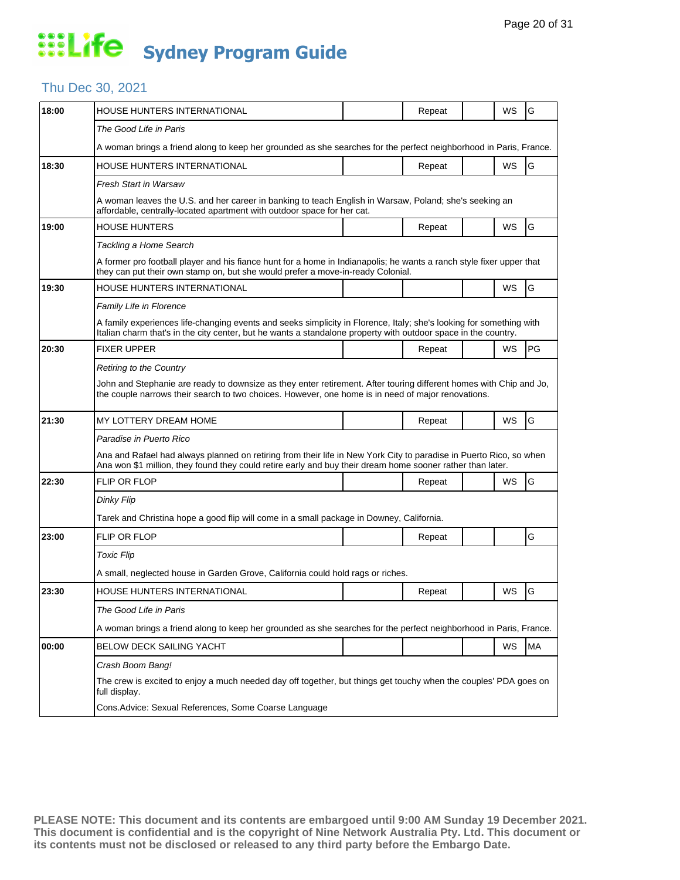#### Thu Dec 30, 2021

| 18:00 | HOUSE HUNTERS INTERNATIONAL                                                                                                                                                                                                           |  | Repeat |  | WS        | G  |  |  |  |
|-------|---------------------------------------------------------------------------------------------------------------------------------------------------------------------------------------------------------------------------------------|--|--------|--|-----------|----|--|--|--|
|       | The Good Life in Paris                                                                                                                                                                                                                |  |        |  |           |    |  |  |  |
|       | A woman brings a friend along to keep her grounded as she searches for the perfect neighborhood in Paris, France.                                                                                                                     |  |        |  |           |    |  |  |  |
| 18:30 | HOUSE HUNTERS INTERNATIONAL                                                                                                                                                                                                           |  | Repeat |  | WS        | G  |  |  |  |
|       | Fresh Start in Warsaw                                                                                                                                                                                                                 |  |        |  |           |    |  |  |  |
|       | A woman leaves the U.S. and her career in banking to teach English in Warsaw, Poland; she's seeking an<br>affordable, centrally-located apartment with outdoor space for her cat.                                                     |  |        |  |           |    |  |  |  |
| 19:00 | HOUSE HUNTERS                                                                                                                                                                                                                         |  | Repeat |  | WS        | G  |  |  |  |
|       | Tackling a Home Search                                                                                                                                                                                                                |  |        |  |           |    |  |  |  |
|       | A former pro football player and his fiance hunt for a home in Indianapolis; he wants a ranch style fixer upper that<br>they can put their own stamp on, but she would prefer a move-in-ready Colonial.                               |  |        |  |           |    |  |  |  |
| 19:30 | HOUSE HUNTERS INTERNATIONAL                                                                                                                                                                                                           |  |        |  | <b>WS</b> | G  |  |  |  |
|       | Family Life in Florence                                                                                                                                                                                                               |  |        |  |           |    |  |  |  |
|       | A family experiences life-changing events and seeks simplicity in Florence, Italy; she's looking for something with<br>Italian charm that's in the city center, but he wants a standalone property with outdoor space in the country. |  |        |  |           |    |  |  |  |
| 20:30 | <b>FIXER UPPER</b>                                                                                                                                                                                                                    |  | Repeat |  | <b>WS</b> | PG |  |  |  |
|       | Retiring to the Country                                                                                                                                                                                                               |  |        |  |           |    |  |  |  |
|       | John and Stephanie are ready to downsize as they enter retirement. After touring different homes with Chip and Jo,<br>the couple narrows their search to two choices. However, one home is in need of major renovations.              |  |        |  |           |    |  |  |  |
| 21:30 | MY LOTTERY DREAM HOME                                                                                                                                                                                                                 |  | Repeat |  | WS        | G  |  |  |  |
|       | Paradise in Puerto Rico                                                                                                                                                                                                               |  |        |  |           |    |  |  |  |
|       | Ana and Rafael had always planned on retiring from their life in New York City to paradise in Puerto Rico, so when<br>Ana won \$1 million, they found they could retire early and buy their dream home sooner rather than later.      |  |        |  |           |    |  |  |  |
| 22:30 | <b>FLIP OR FLOP</b>                                                                                                                                                                                                                   |  | Repeat |  | <b>WS</b> | G  |  |  |  |
|       | Dinky Flip                                                                                                                                                                                                                            |  |        |  |           |    |  |  |  |
|       | Tarek and Christina hope a good flip will come in a small package in Downey, California.                                                                                                                                              |  |        |  |           |    |  |  |  |
| 23:00 | <b>FLIP OR FLOP</b>                                                                                                                                                                                                                   |  | Repeat |  |           | G  |  |  |  |
|       | <b>Toxic Flip</b>                                                                                                                                                                                                                     |  |        |  |           |    |  |  |  |
|       | A small, neglected house in Garden Grove, California could hold rags or riches.                                                                                                                                                       |  |        |  |           |    |  |  |  |
| 23:30 | HOUSE HUNTERS INTERNATIONAL                                                                                                                                                                                                           |  | Repeat |  | WS        | G  |  |  |  |
|       | The Good Life in Paris                                                                                                                                                                                                                |  |        |  |           |    |  |  |  |
|       | A woman brings a friend along to keep her grounded as she searches for the perfect neighborhood in Paris, France.                                                                                                                     |  |        |  |           |    |  |  |  |
| 00:00 | <b>BELOW DECK SAILING YACHT</b>                                                                                                                                                                                                       |  |        |  | ws        | MA |  |  |  |
|       | Crash Boom Bang!                                                                                                                                                                                                                      |  |        |  |           |    |  |  |  |
|       | The crew is excited to enjoy a much needed day off together, but things get touchy when the couples' PDA goes on<br>full display.                                                                                                     |  |        |  |           |    |  |  |  |
|       | Cons. Advice: Sexual References, Some Coarse Language                                                                                                                                                                                 |  |        |  |           |    |  |  |  |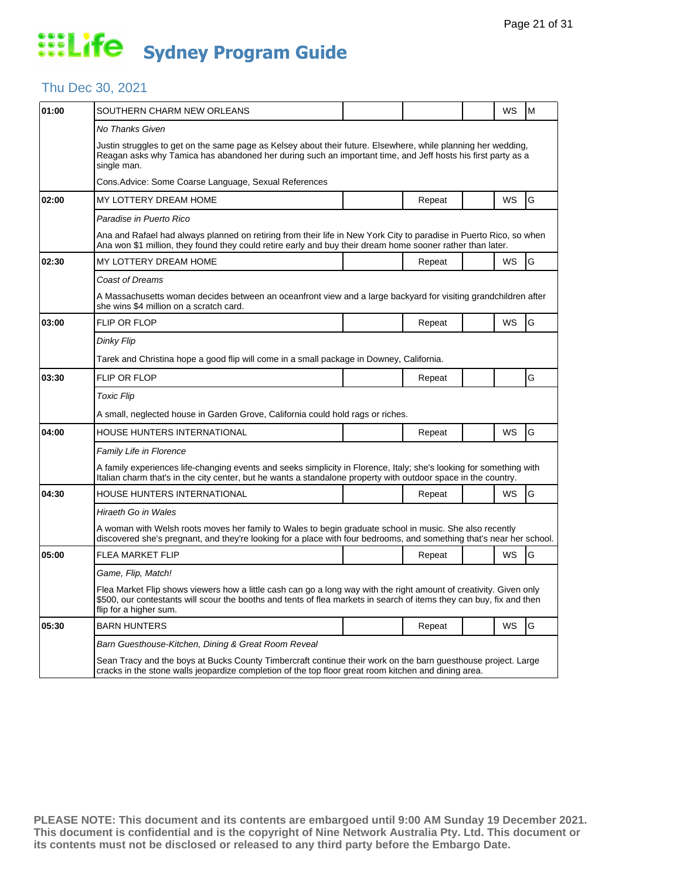#### Thu Dec 30, 2021

| 01:00 | SOUTHERN CHARM NEW ORLEANS                                                                                                                                                                                                                                           |  |        |  | WS        | M |  |  |  |
|-------|----------------------------------------------------------------------------------------------------------------------------------------------------------------------------------------------------------------------------------------------------------------------|--|--------|--|-----------|---|--|--|--|
|       | No Thanks Given                                                                                                                                                                                                                                                      |  |        |  |           |   |  |  |  |
|       | Justin struggles to get on the same page as Kelsey about their future. Elsewhere, while planning her wedding,<br>Reagan asks why Tamica has abandoned her during such an important time, and Jeff hosts his first party as a<br>single man.                          |  |        |  |           |   |  |  |  |
|       | Cons.Advice: Some Coarse Language, Sexual References                                                                                                                                                                                                                 |  |        |  |           |   |  |  |  |
| 02:00 | MY LOTTERY DREAM HOME                                                                                                                                                                                                                                                |  | Repeat |  | <b>WS</b> | G |  |  |  |
|       | Paradise in Puerto Rico                                                                                                                                                                                                                                              |  |        |  |           |   |  |  |  |
|       | Ana and Rafael had always planned on retiring from their life in New York City to paradise in Puerto Rico, so when<br>Ana won \$1 million, they found they could retire early and buy their dream home sooner rather than later.                                     |  |        |  |           |   |  |  |  |
| 02:30 | MY LOTTERY DREAM HOME                                                                                                                                                                                                                                                |  | Repeat |  | <b>WS</b> | G |  |  |  |
|       | <b>Coast of Dreams</b>                                                                                                                                                                                                                                               |  |        |  |           |   |  |  |  |
|       | A Massachusetts woman decides between an oceanfront view and a large backyard for visiting grandchildren after<br>she wins \$4 million on a scratch card.                                                                                                            |  |        |  |           |   |  |  |  |
| 03:00 | <b>FLIP OR FLOP</b>                                                                                                                                                                                                                                                  |  | Repeat |  | WS        | G |  |  |  |
|       | Dinky Flip                                                                                                                                                                                                                                                           |  |        |  |           |   |  |  |  |
|       | Tarek and Christina hope a good flip will come in a small package in Downey, California.                                                                                                                                                                             |  |        |  |           |   |  |  |  |
| 03:30 | FLIP OR FLOP                                                                                                                                                                                                                                                         |  | Repeat |  |           | G |  |  |  |
|       | <b>Toxic Flip</b>                                                                                                                                                                                                                                                    |  |        |  |           |   |  |  |  |
|       | A small, neglected house in Garden Grove, California could hold rags or riches.                                                                                                                                                                                      |  |        |  |           |   |  |  |  |
| 04:00 | HOUSE HUNTERS INTERNATIONAL                                                                                                                                                                                                                                          |  | Repeat |  | <b>WS</b> | G |  |  |  |
|       | Family Life in Florence                                                                                                                                                                                                                                              |  |        |  |           |   |  |  |  |
|       | A family experiences life-changing events and seeks simplicity in Florence, Italy; she's looking for something with<br>Italian charm that's in the city center, but he wants a standalone property with outdoor space in the country.                                |  |        |  |           |   |  |  |  |
| 04:30 | HOUSE HUNTERS INTERNATIONAL                                                                                                                                                                                                                                          |  | Repeat |  | <b>WS</b> | G |  |  |  |
|       | Hiraeth Go in Wales                                                                                                                                                                                                                                                  |  |        |  |           |   |  |  |  |
|       | A woman with Welsh roots moves her family to Wales to begin graduate school in music. She also recently<br>discovered she's pregnant, and they're looking for a place with four bedrooms, and something that's near her school.                                      |  |        |  |           |   |  |  |  |
| 05:00 | FLEA MARKET FLIP                                                                                                                                                                                                                                                     |  | Repeat |  | WS        | G |  |  |  |
|       | Game, Flip, Match!                                                                                                                                                                                                                                                   |  |        |  |           |   |  |  |  |
|       | Flea Market Flip shows viewers how a little cash can go a long way with the right amount of creativity. Given only<br>\$500, our contestants will scour the booths and tents of flea markets in search of items they can buy, fix and then<br>flip for a higher sum. |  |        |  |           |   |  |  |  |
| 05:30 | <b>BARN HUNTERS</b>                                                                                                                                                                                                                                                  |  | Repeat |  | WS        | G |  |  |  |
|       | Barn Guesthouse-Kitchen, Dining & Great Room Reveal                                                                                                                                                                                                                  |  |        |  |           |   |  |  |  |
|       | Sean Tracy and the boys at Bucks County Timbercraft continue their work on the barn guesthouse project. Large<br>cracks in the stone walls jeopardize completion of the top floor great room kitchen and dining area.                                                |  |        |  |           |   |  |  |  |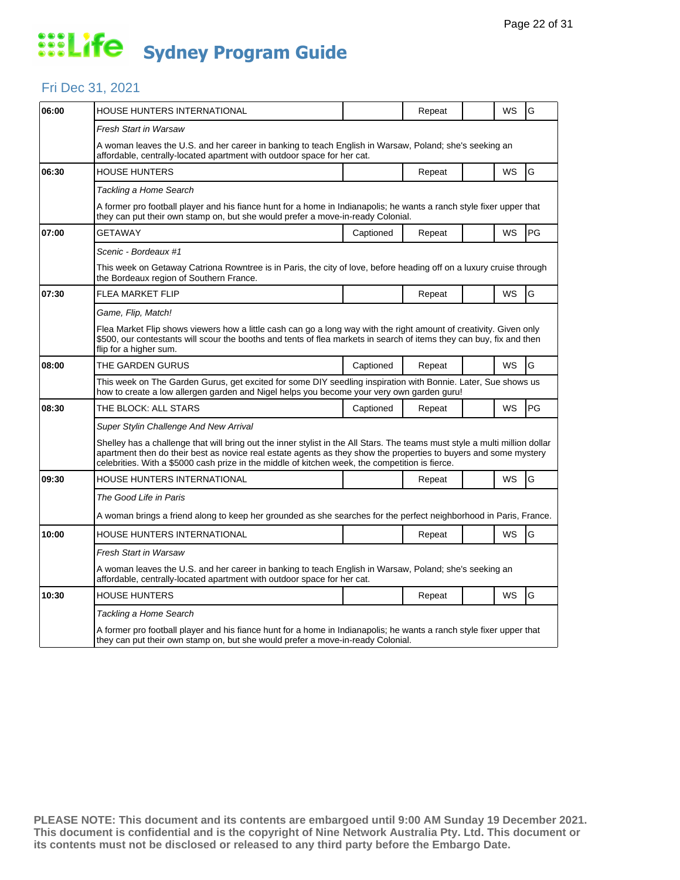#### Fri Dec 31, 2021

| 06:00 | HOUSE HUNTERS INTERNATIONAL                                                                                                                                                                                                                                                                                                                        |           | Repeat |  | WS | G         |  |  |
|-------|----------------------------------------------------------------------------------------------------------------------------------------------------------------------------------------------------------------------------------------------------------------------------------------------------------------------------------------------------|-----------|--------|--|----|-----------|--|--|
|       | Fresh Start in Warsaw                                                                                                                                                                                                                                                                                                                              |           |        |  |    |           |  |  |
|       | A woman leaves the U.S. and her career in banking to teach English in Warsaw, Poland; she's seeking an<br>affordable, centrally-located apartment with outdoor space for her cat.                                                                                                                                                                  |           |        |  |    |           |  |  |
| 06:30 | <b>HOUSE HUNTERS</b>                                                                                                                                                                                                                                                                                                                               |           | Repeat |  | WS | G         |  |  |
|       | Tackling a Home Search                                                                                                                                                                                                                                                                                                                             |           |        |  |    |           |  |  |
|       | A former pro football player and his fiance hunt for a home in Indianapolis; he wants a ranch style fixer upper that<br>they can put their own stamp on, but she would prefer a move-in-ready Colonial.                                                                                                                                            |           |        |  |    |           |  |  |
| 07:00 | GETAWAY                                                                                                                                                                                                                                                                                                                                            | Captioned | Repeat |  | WS | <b>PG</b> |  |  |
|       | Scenic - Bordeaux #1                                                                                                                                                                                                                                                                                                                               |           |        |  |    |           |  |  |
|       | This week on Getaway Catriona Rowntree is in Paris, the city of love, before heading off on a luxury cruise through<br>the Bordeaux region of Southern France.                                                                                                                                                                                     |           |        |  |    |           |  |  |
| 07:30 | <b>FLEA MARKET FLIP</b>                                                                                                                                                                                                                                                                                                                            |           | Repeat |  | WS | G         |  |  |
|       | Game, Flip, Match!                                                                                                                                                                                                                                                                                                                                 |           |        |  |    |           |  |  |
|       | Flea Market Flip shows viewers how a little cash can go a long way with the right amount of creativity. Given only<br>\$500, our contestants will scour the booths and tents of flea markets in search of items they can buy, fix and then<br>flip for a higher sum.                                                                               |           |        |  |    |           |  |  |
| 08:00 | THE GARDEN GURUS                                                                                                                                                                                                                                                                                                                                   | Captioned | Repeat |  | WS | G         |  |  |
|       | This week on The Garden Gurus, get excited for some DIY seedling inspiration with Bonnie. Later, Sue shows us<br>how to create a low allergen garden and Nigel helps you become your very own garden guru!                                                                                                                                         |           |        |  |    |           |  |  |
| 08:30 | THE BLOCK: ALL STARS                                                                                                                                                                                                                                                                                                                               | Captioned | Repeat |  | WS | PG        |  |  |
|       | Super Stylin Challenge And New Arrival                                                                                                                                                                                                                                                                                                             |           |        |  |    |           |  |  |
|       | Shelley has a challenge that will bring out the inner stylist in the All Stars. The teams must style a multi million dollar<br>apartment then do their best as novice real estate agents as they show the properties to buyers and some mystery<br>celebrities. With a \$5000 cash prize in the middle of kitchen week, the competition is fierce. |           |        |  |    |           |  |  |
| 09:30 | HOUSE HUNTERS INTERNATIONAL                                                                                                                                                                                                                                                                                                                        |           | Repeat |  | WS | G         |  |  |
|       | The Good Life in Paris                                                                                                                                                                                                                                                                                                                             |           |        |  |    |           |  |  |
|       | A woman brings a friend along to keep her grounded as she searches for the perfect neighborhood in Paris, France.                                                                                                                                                                                                                                  |           |        |  |    |           |  |  |
| 10:00 | HOUSE HUNTERS INTERNATIONAL                                                                                                                                                                                                                                                                                                                        |           | Repeat |  | WS | G         |  |  |
|       | Fresh Start in Warsaw                                                                                                                                                                                                                                                                                                                              |           |        |  |    |           |  |  |
|       | A woman leaves the U.S. and her career in banking to teach English in Warsaw, Poland; she's seeking an<br>affordable, centrally-located apartment with outdoor space for her cat.                                                                                                                                                                  |           |        |  |    |           |  |  |
| 10:30 | <b>HOUSE HUNTERS</b>                                                                                                                                                                                                                                                                                                                               |           | Repeat |  | WS | G         |  |  |
|       | Tackling a Home Search                                                                                                                                                                                                                                                                                                                             |           |        |  |    |           |  |  |
|       | A former pro football player and his fiance hunt for a home in Indianapolis; he wants a ranch style fixer upper that<br>they can put their own stamp on, but she would prefer a move-in-ready Colonial.                                                                                                                                            |           |        |  |    |           |  |  |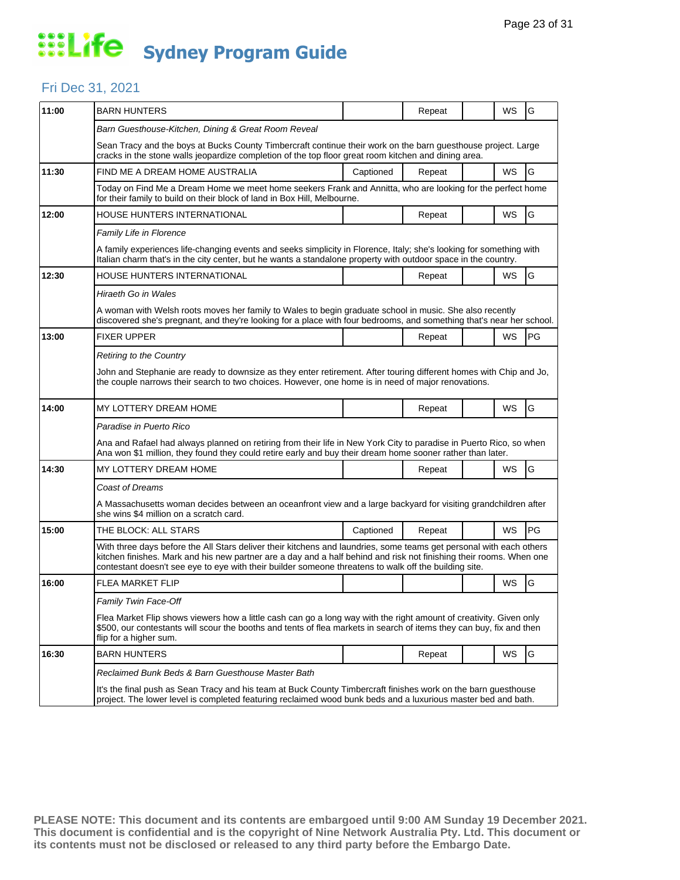#### Fri Dec 31, 2021

| 11:00 | <b>BARN HUNTERS</b>                                                                                                                                                                                                                                                                                                                                 |           | Repeat |  | WS        | G             |  |  |
|-------|-----------------------------------------------------------------------------------------------------------------------------------------------------------------------------------------------------------------------------------------------------------------------------------------------------------------------------------------------------|-----------|--------|--|-----------|---------------|--|--|
|       | Barn Guesthouse-Kitchen, Dining & Great Room Reveal                                                                                                                                                                                                                                                                                                 |           |        |  |           |               |  |  |
|       | Sean Tracy and the boys at Bucks County Timbercraft continue their work on the barn guesthouse project. Large<br>cracks in the stone walls jeopardize completion of the top floor great room kitchen and dining area.                                                                                                                               |           |        |  |           |               |  |  |
| 11:30 | FIND ME A DREAM HOME AUSTRALIA                                                                                                                                                                                                                                                                                                                      | Captioned | Repeat |  | WS        | G             |  |  |
|       | Today on Find Me a Dream Home we meet home seekers Frank and Annitta, who are looking for the perfect home<br>for their family to build on their block of land in Box Hill, Melbourne.                                                                                                                                                              |           |        |  |           |               |  |  |
| 12:00 | HOUSE HUNTERS INTERNATIONAL                                                                                                                                                                                                                                                                                                                         |           | Repeat |  | WS        | G             |  |  |
|       | Family Life in Florence                                                                                                                                                                                                                                                                                                                             |           |        |  |           |               |  |  |
|       | A family experiences life-changing events and seeks simplicity in Florence, Italy; she's looking for something with<br>Italian charm that's in the city center, but he wants a standalone property with outdoor space in the country.                                                                                                               |           |        |  |           |               |  |  |
| 12:30 | HOUSE HUNTERS INTERNATIONAL                                                                                                                                                                                                                                                                                                                         |           | Repeat |  | WS        | G             |  |  |
|       | Hiraeth Go in Wales                                                                                                                                                                                                                                                                                                                                 |           |        |  |           |               |  |  |
|       | A woman with Welsh roots moves her family to Wales to begin graduate school in music. She also recently<br>discovered she's pregnant, and they're looking for a place with four bedrooms, and something that's near her school.                                                                                                                     |           |        |  |           |               |  |  |
| 13:00 | <b>FIXER UPPER</b>                                                                                                                                                                                                                                                                                                                                  |           | Repeat |  | WS        | PG            |  |  |
|       | <b>Retiring to the Country</b>                                                                                                                                                                                                                                                                                                                      |           |        |  |           |               |  |  |
|       | John and Stephanie are ready to downsize as they enter retirement. After touring different homes with Chip and Jo,<br>the couple narrows their search to two choices. However, one home is in need of major renovations.                                                                                                                            |           |        |  |           |               |  |  |
| 14:00 | MY LOTTERY DREAM HOME                                                                                                                                                                                                                                                                                                                               |           | Repeat |  | WS        | G             |  |  |
|       | Paradise in Puerto Rico                                                                                                                                                                                                                                                                                                                             |           |        |  |           |               |  |  |
|       | Ana and Rafael had always planned on retiring from their life in New York City to paradise in Puerto Rico, so when<br>Ana won \$1 million, they found they could retire early and buy their dream home sooner rather than later.                                                                                                                    |           |        |  |           |               |  |  |
| 14:30 | MY LOTTERY DREAM HOME                                                                                                                                                                                                                                                                                                                               |           | Repeat |  | <b>WS</b> | G             |  |  |
|       | <b>Coast of Dreams</b>                                                                                                                                                                                                                                                                                                                              |           |        |  |           |               |  |  |
|       | A Massachusetts woman decides between an oceanfront view and a large backyard for visiting grandchildren after<br>she wins \$4 million on a scratch card.                                                                                                                                                                                           |           |        |  |           |               |  |  |
| 15:00 | THE BLOCK: ALL STARS                                                                                                                                                                                                                                                                                                                                | Captioned | Repeat |  | WS        | PG            |  |  |
|       | With three days before the All Stars deliver their kitchens and laundries, some teams get personal with each others<br>kitchen finishes. Mark and his new partner are a day and a half behind and risk not finishing their rooms. When one<br>contestant doesn't see eye to eye with their builder someone threatens to walk off the building site. |           |        |  |           |               |  |  |
| 16:00 | <b>FLEA MARKET FLIP</b>                                                                                                                                                                                                                                                                                                                             |           |        |  | WS        | G             |  |  |
|       | Family Twin Face-Off                                                                                                                                                                                                                                                                                                                                |           |        |  |           |               |  |  |
|       | Flea Market Flip shows viewers how a little cash can go a long way with the right amount of creativity. Given only<br>\$500, our contestants will scour the booths and tents of flea markets in search of items they can buy, fix and then<br>flip for a higher sum.                                                                                |           |        |  |           |               |  |  |
| 16:30 | <b>BARN HUNTERS</b>                                                                                                                                                                                                                                                                                                                                 |           | Repeat |  | WS        | ${\mathsf G}$ |  |  |
|       | Reclaimed Bunk Beds & Barn Guesthouse Master Bath                                                                                                                                                                                                                                                                                                   |           |        |  |           |               |  |  |
|       | It's the final push as Sean Tracy and his team at Buck County Timbercraft finishes work on the barn guesthouse<br>project. The lower level is completed featuring reclaimed wood bunk beds and a luxurious master bed and bath.                                                                                                                     |           |        |  |           |               |  |  |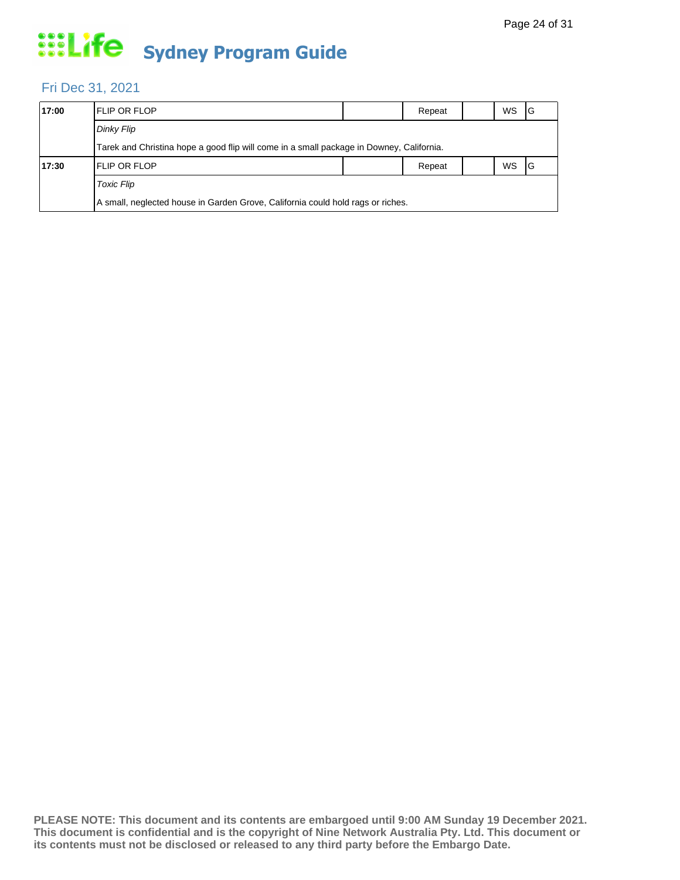### Fri Dec 31, 2021

| 17:00 | <b>IFLIP OR FLOP</b>                                                                     |  | Repeat |  | WS | ΙG |  |  |  |  |
|-------|------------------------------------------------------------------------------------------|--|--------|--|----|----|--|--|--|--|
|       | Dinky Flip                                                                               |  |        |  |    |    |  |  |  |  |
|       | Tarek and Christina hope a good flip will come in a small package in Downey, California. |  |        |  |    |    |  |  |  |  |
| 17:30 | <b>IFLIP OR FLOP</b>                                                                     |  | Repeat |  | WS | IG |  |  |  |  |
|       | <b>Toxic Flip</b>                                                                        |  |        |  |    |    |  |  |  |  |
|       | A small, neglected house in Garden Grove, California could hold rags or riches.          |  |        |  |    |    |  |  |  |  |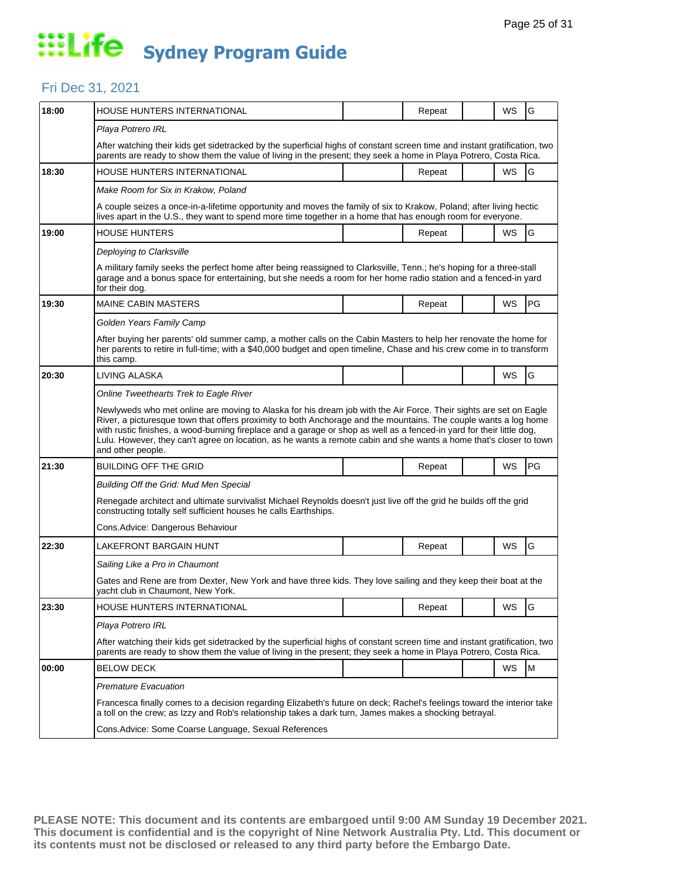### Fri Dec 31, 2021

| 18:00 | HOUSE HUNTERS INTERNATIONAL                                                                                                                                                                                                                                                                                                                                                                                                                                                                               |                                                                                                                                                                                                                                                | Repeat |  | WS        | G         |  |  |  |
|-------|-----------------------------------------------------------------------------------------------------------------------------------------------------------------------------------------------------------------------------------------------------------------------------------------------------------------------------------------------------------------------------------------------------------------------------------------------------------------------------------------------------------|------------------------------------------------------------------------------------------------------------------------------------------------------------------------------------------------------------------------------------------------|--------|--|-----------|-----------|--|--|--|
|       | Playa Potrero IRL                                                                                                                                                                                                                                                                                                                                                                                                                                                                                         |                                                                                                                                                                                                                                                |        |  |           |           |  |  |  |
|       |                                                                                                                                                                                                                                                                                                                                                                                                                                                                                                           | After watching their kids get sidetracked by the superficial highs of constant screen time and instant gratification, two<br>parents are ready to show them the value of living in the present; they seek a home in Playa Potrero, Costa Rica. |        |  |           |           |  |  |  |
| 18:30 | HOUSE HUNTERS INTERNATIONAL                                                                                                                                                                                                                                                                                                                                                                                                                                                                               |                                                                                                                                                                                                                                                | Repeat |  | WS        | G         |  |  |  |
|       | Make Room for Six in Krakow, Poland                                                                                                                                                                                                                                                                                                                                                                                                                                                                       |                                                                                                                                                                                                                                                |        |  |           |           |  |  |  |
|       | A couple seizes a once-in-a-lifetime opportunity and moves the family of six to Krakow, Poland; after living hectic<br>lives apart in the U.S., they want to spend more time together in a home that has enough room for everyone.                                                                                                                                                                                                                                                                        |                                                                                                                                                                                                                                                |        |  |           |           |  |  |  |
| 19:00 | HOUSE HUNTERS                                                                                                                                                                                                                                                                                                                                                                                                                                                                                             |                                                                                                                                                                                                                                                | Repeat |  | WS        | G         |  |  |  |
|       | Deploying to Clarksville                                                                                                                                                                                                                                                                                                                                                                                                                                                                                  |                                                                                                                                                                                                                                                |        |  |           |           |  |  |  |
|       | A military family seeks the perfect home after being reassigned to Clarksville, Tenn.; he's hoping for a three-stall<br>garage and a bonus space for entertaining, but she needs a room for her home radio station and a fenced-in yard<br>for their dog.                                                                                                                                                                                                                                                 |                                                                                                                                                                                                                                                |        |  |           |           |  |  |  |
| 19:30 | <b>MAINE CABIN MASTERS</b>                                                                                                                                                                                                                                                                                                                                                                                                                                                                                |                                                                                                                                                                                                                                                | Repeat |  | WS        | PG        |  |  |  |
|       | Golden Years Family Camp                                                                                                                                                                                                                                                                                                                                                                                                                                                                                  |                                                                                                                                                                                                                                                |        |  |           |           |  |  |  |
|       | After buying her parents' old summer camp, a mother calls on the Cabin Masters to help her renovate the home for<br>her parents to retire in full-time; with a \$40,000 budget and open timeline, Chase and his crew come in to transform<br>this camp.                                                                                                                                                                                                                                                   |                                                                                                                                                                                                                                                |        |  |           |           |  |  |  |
| 20:30 | LIVING ALASKA                                                                                                                                                                                                                                                                                                                                                                                                                                                                                             |                                                                                                                                                                                                                                                |        |  | WS        | G         |  |  |  |
|       | Online Tweethearts Trek to Eagle River                                                                                                                                                                                                                                                                                                                                                                                                                                                                    |                                                                                                                                                                                                                                                |        |  |           |           |  |  |  |
|       |                                                                                                                                                                                                                                                                                                                                                                                                                                                                                                           |                                                                                                                                                                                                                                                |        |  |           |           |  |  |  |
|       | Newlyweds who met online are moving to Alaska for his dream job with the Air Force. Their sights are set on Eagle<br>River, a picturesque town that offers proximity to both Anchorage and the mountains. The couple wants a log home<br>with rustic finishes, a wood-burning fireplace and a garage or shop as well as a fenced-in yard for their little dog,<br>Lulu. However, they can't agree on location, as he wants a remote cabin and she wants a home that's closer to town<br>and other people. |                                                                                                                                                                                                                                                |        |  |           |           |  |  |  |
| 21:30 | BUILDING OFF THE GRID                                                                                                                                                                                                                                                                                                                                                                                                                                                                                     |                                                                                                                                                                                                                                                | Repeat |  | WS        | PG        |  |  |  |
|       | Building Off the Grid: Mud Men Special                                                                                                                                                                                                                                                                                                                                                                                                                                                                    |                                                                                                                                                                                                                                                |        |  |           |           |  |  |  |
|       | Renegade architect and ultimate survivalist Michael Reynolds doesn't just live off the grid he builds off the grid<br>constructing totally self sufficient houses he calls Earthships.                                                                                                                                                                                                                                                                                                                    |                                                                                                                                                                                                                                                |        |  |           |           |  |  |  |
|       | Cons. Advice: Dangerous Behaviour                                                                                                                                                                                                                                                                                                                                                                                                                                                                         |                                                                                                                                                                                                                                                |        |  |           |           |  |  |  |
| 22:30 | LAKEFRONT BARGAIN HUNT                                                                                                                                                                                                                                                                                                                                                                                                                                                                                    |                                                                                                                                                                                                                                                | Repeat |  | WS        | G         |  |  |  |
|       | Sailing Like a Pro in Chaumont                                                                                                                                                                                                                                                                                                                                                                                                                                                                            |                                                                                                                                                                                                                                                |        |  |           |           |  |  |  |
|       | Gates and Rene are from Dexter, New York and have three kids. They love sailing and they keep their boat at the<br>yacht club in Chaumont, New York.                                                                                                                                                                                                                                                                                                                                                      |                                                                                                                                                                                                                                                |        |  |           |           |  |  |  |
| 23:30 | HOUSE HUNTERS INTERNATIONAL                                                                                                                                                                                                                                                                                                                                                                                                                                                                               |                                                                                                                                                                                                                                                | Repeat |  | WS        | G         |  |  |  |
|       | Playa Potrero IRL                                                                                                                                                                                                                                                                                                                                                                                                                                                                                         |                                                                                                                                                                                                                                                |        |  |           |           |  |  |  |
|       | After watching their kids get sidetracked by the superficial highs of constant screen time and instant gratification, two<br>parents are ready to show them the value of living in the present; they seek a home in Playa Potrero, Costa Rica.                                                                                                                                                                                                                                                            |                                                                                                                                                                                                                                                |        |  |           |           |  |  |  |
| 00:00 | <b>BELOW DECK</b>                                                                                                                                                                                                                                                                                                                                                                                                                                                                                         |                                                                                                                                                                                                                                                |        |  | <b>WS</b> | ${\sf M}$ |  |  |  |
|       | <b>Premature Evacuation</b>                                                                                                                                                                                                                                                                                                                                                                                                                                                                               |                                                                                                                                                                                                                                                |        |  |           |           |  |  |  |
|       | Francesca finally comes to a decision regarding Elizabeth's future on deck; Rachel's feelings toward the interior take<br>a toll on the crew; as Izzy and Rob's relationship takes a dark turn, James makes a shocking betrayal.                                                                                                                                                                                                                                                                          |                                                                                                                                                                                                                                                |        |  |           |           |  |  |  |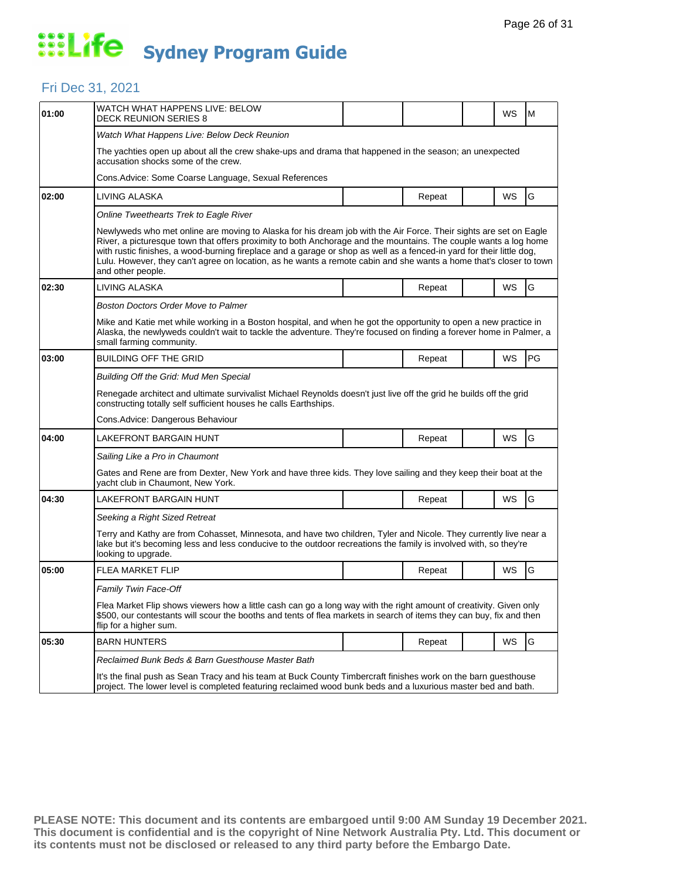### Fri Dec 31, 2021

| 01:00 | WATCH WHAT HAPPENS LIVE: BELOW<br><b>DECK REUNION SERIES 8</b>                                                                                                                                                                                                                                                                                                                                                                                                                                            |  |        |  | WS        | M  |  |  |
|-------|-----------------------------------------------------------------------------------------------------------------------------------------------------------------------------------------------------------------------------------------------------------------------------------------------------------------------------------------------------------------------------------------------------------------------------------------------------------------------------------------------------------|--|--------|--|-----------|----|--|--|
|       | Watch What Happens Live: Below Deck Reunion                                                                                                                                                                                                                                                                                                                                                                                                                                                               |  |        |  |           |    |  |  |
|       | The yachties open up about all the crew shake-ups and drama that happened in the season; an unexpected<br>accusation shocks some of the crew.                                                                                                                                                                                                                                                                                                                                                             |  |        |  |           |    |  |  |
|       | Cons.Advice: Some Coarse Language, Sexual References                                                                                                                                                                                                                                                                                                                                                                                                                                                      |  |        |  |           |    |  |  |
| 02:00 | LIVING ALASKA                                                                                                                                                                                                                                                                                                                                                                                                                                                                                             |  | Repeat |  | WS        | G  |  |  |
|       | Online Tweethearts Trek to Eagle River                                                                                                                                                                                                                                                                                                                                                                                                                                                                    |  |        |  |           |    |  |  |
|       | Newlyweds who met online are moving to Alaska for his dream job with the Air Force. Their sights are set on Eagle<br>River, a picturesque town that offers proximity to both Anchorage and the mountains. The couple wants a log home<br>with rustic finishes, a wood-burning fireplace and a garage or shop as well as a fenced-in yard for their little dog,<br>Lulu. However, they can't agree on location, as he wants a remote cabin and she wants a home that's closer to town<br>and other people. |  |        |  |           |    |  |  |
| 02:30 | LIVING ALASKA                                                                                                                                                                                                                                                                                                                                                                                                                                                                                             |  | Repeat |  | <b>WS</b> | G  |  |  |
|       | <b>Boston Doctors Order Move to Palmer</b>                                                                                                                                                                                                                                                                                                                                                                                                                                                                |  |        |  |           |    |  |  |
|       | Mike and Katie met while working in a Boston hospital, and when he got the opportunity to open a new practice in<br>Alaska, the newlyweds couldn't wait to tackle the adventure. They're focused on finding a forever home in Palmer, a<br>small farming community.                                                                                                                                                                                                                                       |  |        |  |           |    |  |  |
| 03:00 | BUILDING OFF THE GRID                                                                                                                                                                                                                                                                                                                                                                                                                                                                                     |  | Repeat |  | WS        | PG |  |  |
|       | Building Off the Grid: Mud Men Special                                                                                                                                                                                                                                                                                                                                                                                                                                                                    |  |        |  |           |    |  |  |
|       | Renegade architect and ultimate survivalist Michael Reynolds doesn't just live off the grid he builds off the grid<br>constructing totally self sufficient houses he calls Earthships.                                                                                                                                                                                                                                                                                                                    |  |        |  |           |    |  |  |
|       | Cons. Advice: Dangerous Behaviour                                                                                                                                                                                                                                                                                                                                                                                                                                                                         |  |        |  |           |    |  |  |
| 04:00 | LAKEFRONT BARGAIN HUNT                                                                                                                                                                                                                                                                                                                                                                                                                                                                                    |  | Repeat |  | WS        | G  |  |  |
|       | Sailing Like a Pro in Chaumont                                                                                                                                                                                                                                                                                                                                                                                                                                                                            |  |        |  |           |    |  |  |
|       | Gates and Rene are from Dexter, New York and have three kids. They love sailing and they keep their boat at the<br>yacht club in Chaumont, New York.                                                                                                                                                                                                                                                                                                                                                      |  |        |  |           |    |  |  |
| 04:30 | LAKEFRONT BARGAIN HUNT                                                                                                                                                                                                                                                                                                                                                                                                                                                                                    |  | Repeat |  | WS        | G  |  |  |
|       | Seeking a Right Sized Retreat                                                                                                                                                                                                                                                                                                                                                                                                                                                                             |  |        |  |           |    |  |  |
|       | Terry and Kathy are from Cohasset, Minnesota, and have two children, Tyler and Nicole. They currently live near a<br>lake but it's becoming less and less conducive to the outdoor recreations the family is involved with, so they're<br>looking to upgrade.                                                                                                                                                                                                                                             |  |        |  |           |    |  |  |
| 05:00 | <b>FLEA MARKET FLIP</b>                                                                                                                                                                                                                                                                                                                                                                                                                                                                                   |  | Repeat |  | WS        | G  |  |  |
|       | <b>Family Twin Face-Off</b>                                                                                                                                                                                                                                                                                                                                                                                                                                                                               |  |        |  |           |    |  |  |
|       | Flea Market Flip shows viewers how a little cash can go a long way with the right amount of creativity. Given only<br>\$500, our contestants will scour the booths and tents of flea markets in search of items they can buy, fix and then<br>flip for a higher sum.                                                                                                                                                                                                                                      |  |        |  |           |    |  |  |
| 05:30 | <b>BARN HUNTERS</b>                                                                                                                                                                                                                                                                                                                                                                                                                                                                                       |  | Repeat |  | WS        | G  |  |  |
|       | Reclaimed Bunk Beds & Barn Guesthouse Master Bath                                                                                                                                                                                                                                                                                                                                                                                                                                                         |  |        |  |           |    |  |  |
|       | It's the final push as Sean Tracy and his team at Buck County Timbercraft finishes work on the barn guesthouse<br>project. The lower level is completed featuring reclaimed wood bunk beds and a luxurious master bed and bath.                                                                                                                                                                                                                                                                           |  |        |  |           |    |  |  |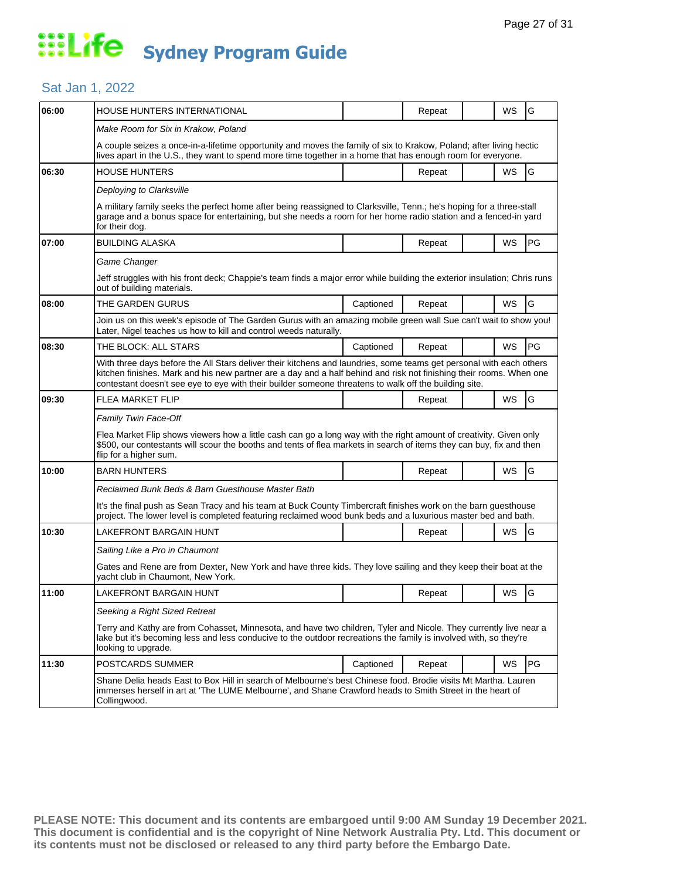### Sat Jan 1, 2022

| 06:00 | HOUSE HUNTERS INTERNATIONAL                                                                                                                                                                                                                                                                                                                         |           | Repeat |  | WS        | G         |  |
|-------|-----------------------------------------------------------------------------------------------------------------------------------------------------------------------------------------------------------------------------------------------------------------------------------------------------------------------------------------------------|-----------|--------|--|-----------|-----------|--|
|       | Make Room for Six in Krakow, Poland                                                                                                                                                                                                                                                                                                                 |           |        |  |           |           |  |
|       | A couple seizes a once-in-a-lifetime opportunity and moves the family of six to Krakow, Poland; after living hectic<br>lives apart in the U.S., they want to spend more time together in a home that has enough room for everyone.                                                                                                                  |           |        |  |           |           |  |
| 06:30 | HOUSE HUNTERS                                                                                                                                                                                                                                                                                                                                       |           | Repeat |  | WS        | G         |  |
|       | Deploying to Clarksville                                                                                                                                                                                                                                                                                                                            |           |        |  |           |           |  |
|       | A military family seeks the perfect home after being reassigned to Clarksville, Tenn.; he's hoping for a three-stall<br>garage and a bonus space for entertaining, but she needs a room for her home radio station and a fenced-in yard<br>for their dog.                                                                                           |           |        |  |           |           |  |
| 07:00 | <b>BUILDING ALASKA</b>                                                                                                                                                                                                                                                                                                                              |           | Repeat |  | WS        | PG        |  |
|       | Game Changer                                                                                                                                                                                                                                                                                                                                        |           |        |  |           |           |  |
|       | Jeff struggles with his front deck; Chappie's team finds a major error while building the exterior insulation; Chris runs<br>out of building materials.                                                                                                                                                                                             |           |        |  |           |           |  |
| 08:00 | THE GARDEN GURUS                                                                                                                                                                                                                                                                                                                                    | Captioned | Repeat |  | <b>WS</b> | G         |  |
|       | Join us on this week's episode of The Garden Gurus with an amazing mobile green wall Sue can't wait to show you!<br>Later, Nigel teaches us how to kill and control weeds naturally.                                                                                                                                                                |           |        |  |           |           |  |
| 08:30 | THE BLOCK: ALL STARS                                                                                                                                                                                                                                                                                                                                | Captioned | Repeat |  | WS        | PG        |  |
|       | With three days before the All Stars deliver their kitchens and laundries, some teams get personal with each others<br>kitchen finishes. Mark and his new partner are a day and a half behind and risk not finishing their rooms. When one<br>contestant doesn't see eye to eye with their builder someone threatens to walk off the building site. |           |        |  |           |           |  |
| 09:30 | FLEA MARKET FLIP                                                                                                                                                                                                                                                                                                                                    |           | Repeat |  | WS        | G         |  |
|       | <b>Family Twin Face-Off</b>                                                                                                                                                                                                                                                                                                                         |           |        |  |           |           |  |
|       | Flea Market Flip shows viewers how a little cash can go a long way with the right amount of creativity. Given only<br>\$500, our contestants will scour the booths and tents of flea markets in search of items they can buy, fix and then<br>flip for a higher sum.                                                                                |           |        |  |           |           |  |
| 10:00 | <b>BARN HUNTERS</b>                                                                                                                                                                                                                                                                                                                                 |           | Repeat |  | WS        | G         |  |
|       | Reclaimed Bunk Beds & Barn Guesthouse Master Bath                                                                                                                                                                                                                                                                                                   |           |        |  |           |           |  |
|       | It's the final push as Sean Tracy and his team at Buck County Timbercraft finishes work on the barn guesthouse<br>project. The lower level is completed featuring reclaimed wood bunk beds and a luxurious master bed and bath.                                                                                                                     |           |        |  |           |           |  |
| 10:30 | LAKEFRONT BARGAIN HUNT                                                                                                                                                                                                                                                                                                                              |           | Repeat |  | WS        | G         |  |
|       | Sailing Like a Pro in Chaumont                                                                                                                                                                                                                                                                                                                      |           |        |  |           |           |  |
|       | Gates and Rene are from Dexter, New York and have three kids. They love sailing and they keep their boat at the<br>vacht club in Chaumont, New York.                                                                                                                                                                                                |           |        |  |           |           |  |
| 11:00 | <b>LAKEFRONT BARGAIN HUNT</b>                                                                                                                                                                                                                                                                                                                       |           | Repeat |  | WS        | lG        |  |
|       | Seeking a Right Sized Retreat                                                                                                                                                                                                                                                                                                                       |           |        |  |           |           |  |
|       | Terry and Kathy are from Cohasset, Minnesota, and have two children, Tyler and Nicole. They currently live near a<br>lake but it's becoming less and less conducive to the outdoor recreations the family is involved with, so they're<br>looking to upgrade.                                                                                       |           |        |  |           |           |  |
| 11:30 | POSTCARDS SUMMER                                                                                                                                                                                                                                                                                                                                    | Captioned | Repeat |  | WS        | <b>PG</b> |  |
|       | Shane Delia heads East to Box Hill in search of Melbourne's best Chinese food. Brodie visits Mt Martha. Lauren<br>immerses herself in art at 'The LUME Melbourne', and Shane Crawford heads to Smith Street in the heart of<br>Collingwood.                                                                                                         |           |        |  |           |           |  |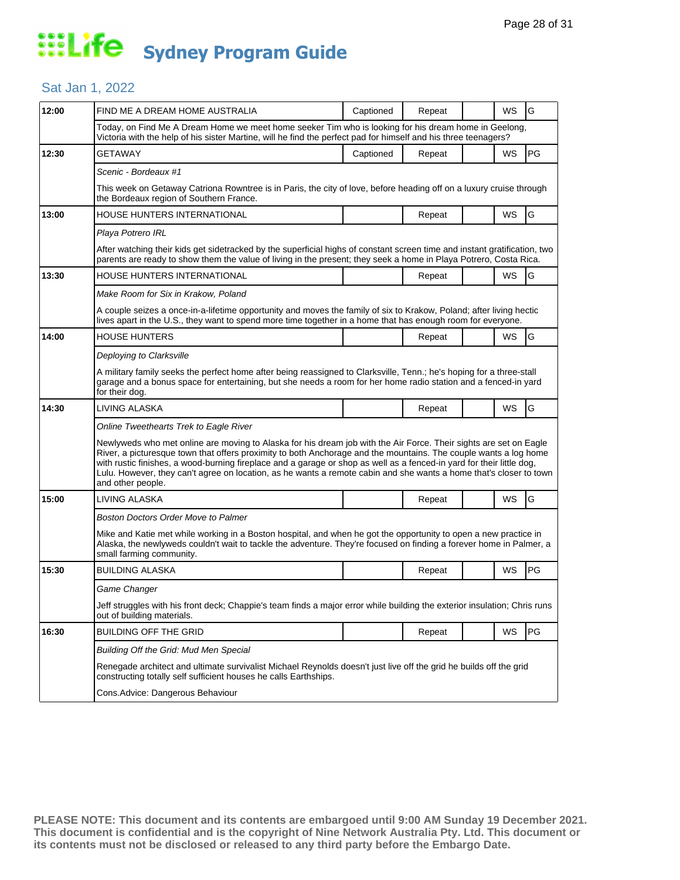#### Sat Jan 1, 2022

| 12:00 | FIND ME A DREAM HOME AUSTRALIA                                                                                                                                                                                                                                                                                                                                                                                                                                                                            | Captioned | Repeat |  | WS        | G  |  |  |
|-------|-----------------------------------------------------------------------------------------------------------------------------------------------------------------------------------------------------------------------------------------------------------------------------------------------------------------------------------------------------------------------------------------------------------------------------------------------------------------------------------------------------------|-----------|--------|--|-----------|----|--|--|
|       | Today, on Find Me A Dream Home we meet home seeker Tim who is looking for his dream home in Geelong,<br>Victoria with the help of his sister Martine, will he find the perfect pad for himself and his three teenagers?                                                                                                                                                                                                                                                                                   |           |        |  |           |    |  |  |
| 12:30 | <b>GETAWAY</b>                                                                                                                                                                                                                                                                                                                                                                                                                                                                                            | Captioned | Repeat |  | WS        | PG |  |  |
|       | Scenic - Bordeaux #1                                                                                                                                                                                                                                                                                                                                                                                                                                                                                      |           |        |  |           |    |  |  |
|       | This week on Getaway Catriona Rowntree is in Paris, the city of love, before heading off on a luxury cruise through<br>the Bordeaux region of Southern France.                                                                                                                                                                                                                                                                                                                                            |           |        |  |           |    |  |  |
| 13:00 | HOUSE HUNTERS INTERNATIONAL                                                                                                                                                                                                                                                                                                                                                                                                                                                                               |           | Repeat |  | <b>WS</b> | G  |  |  |
|       | Playa Potrero IRL                                                                                                                                                                                                                                                                                                                                                                                                                                                                                         |           |        |  |           |    |  |  |
|       | After watching their kids get sidetracked by the superficial highs of constant screen time and instant gratification, two<br>parents are ready to show them the value of living in the present; they seek a home in Playa Potrero, Costa Rica.                                                                                                                                                                                                                                                            |           |        |  |           |    |  |  |
| 13:30 | <b>HOUSE HUNTERS INTERNATIONAL</b>                                                                                                                                                                                                                                                                                                                                                                                                                                                                        |           | Repeat |  | WS        | G  |  |  |
|       | Make Room for Six in Krakow, Poland                                                                                                                                                                                                                                                                                                                                                                                                                                                                       |           |        |  |           |    |  |  |
|       | A couple seizes a once-in-a-lifetime opportunity and moves the family of six to Krakow, Poland; after living hectic<br>lives apart in the U.S., they want to spend more time together in a home that has enough room for everyone.                                                                                                                                                                                                                                                                        |           |        |  |           |    |  |  |
| 14:00 | <b>HOUSE HUNTERS</b>                                                                                                                                                                                                                                                                                                                                                                                                                                                                                      |           | Repeat |  | WS        | G  |  |  |
|       | Deploying to Clarksville                                                                                                                                                                                                                                                                                                                                                                                                                                                                                  |           |        |  |           |    |  |  |
|       | A military family seeks the perfect home after being reassigned to Clarksville, Tenn.; he's hoping for a three-stall<br>garage and a bonus space for entertaining, but she needs a room for her home radio station and a fenced-in yard<br>for their dog.                                                                                                                                                                                                                                                 |           |        |  |           |    |  |  |
| 14:30 | LIVING ALASKA                                                                                                                                                                                                                                                                                                                                                                                                                                                                                             |           | Repeat |  | WS        | G  |  |  |
|       | Online Tweethearts Trek to Eagle River                                                                                                                                                                                                                                                                                                                                                                                                                                                                    |           |        |  |           |    |  |  |
|       | Newlyweds who met online are moving to Alaska for his dream job with the Air Force. Their sights are set on Eagle<br>River, a picturesque town that offers proximity to both Anchorage and the mountains. The couple wants a log home<br>with rustic finishes, a wood-burning fireplace and a garage or shop as well as a fenced-in yard for their little dog,<br>Lulu. However, they can't agree on location, as he wants a remote cabin and she wants a home that's closer to town<br>and other people. |           |        |  |           |    |  |  |
| 15:00 | LIVING ALASKA                                                                                                                                                                                                                                                                                                                                                                                                                                                                                             |           | Repeat |  | WS        | G  |  |  |
|       | <b>Boston Doctors Order Move to Palmer</b>                                                                                                                                                                                                                                                                                                                                                                                                                                                                |           |        |  |           |    |  |  |
|       | Mike and Katie met while working in a Boston hospital, and when he got the opportunity to open a new practice in<br>Alaska, the newlyweds couldn't wait to tackle the adventure. They're focused on finding a forever home in Palmer, a<br>small farming community.                                                                                                                                                                                                                                       |           |        |  |           |    |  |  |
| 15:30 | <b>BUILDING ALASKA</b>                                                                                                                                                                                                                                                                                                                                                                                                                                                                                    |           | Repeat |  | WS        | PG |  |  |
|       | Game Changer                                                                                                                                                                                                                                                                                                                                                                                                                                                                                              |           |        |  |           |    |  |  |
|       | Jeff struggles with his front deck; Chappie's team finds a major error while building the exterior insulation; Chris runs<br>out of building materials.                                                                                                                                                                                                                                                                                                                                                   |           |        |  |           |    |  |  |
| 16:30 | <b>BUILDING OFF THE GRID</b>                                                                                                                                                                                                                                                                                                                                                                                                                                                                              |           | Repeat |  | WS        | PG |  |  |
|       | Building Off the Grid: Mud Men Special                                                                                                                                                                                                                                                                                                                                                                                                                                                                    |           |        |  |           |    |  |  |
|       | Renegade architect and ultimate survivalist Michael Reynolds doesn't just live off the grid he builds off the grid<br>constructing totally self sufficient houses he calls Earthships.                                                                                                                                                                                                                                                                                                                    |           |        |  |           |    |  |  |
|       | Cons.Advice: Dangerous Behaviour                                                                                                                                                                                                                                                                                                                                                                                                                                                                          |           |        |  |           |    |  |  |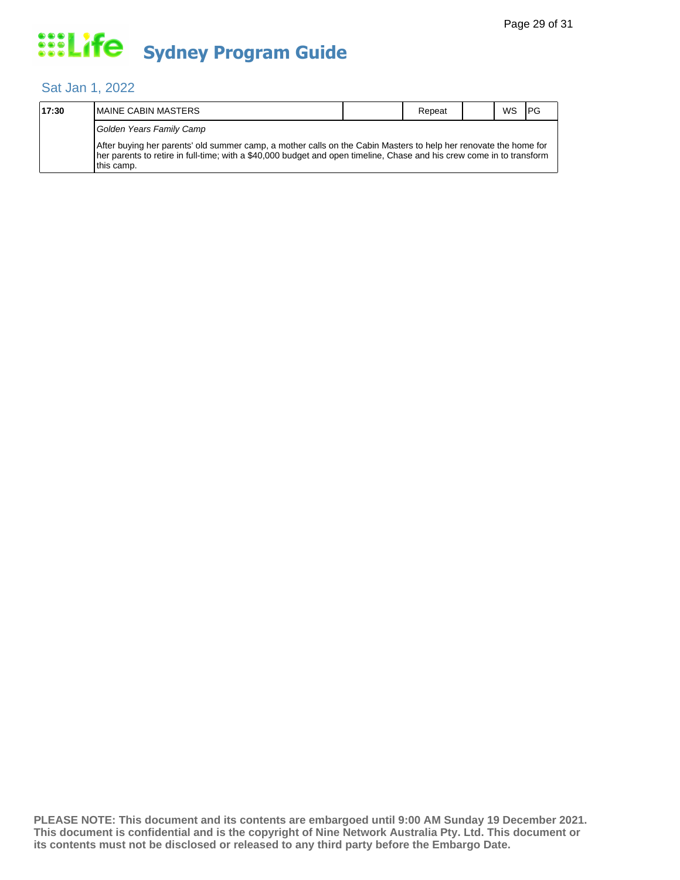### Sat Jan 1, 2022

| 17:30 | <b>IMAINE CABIN MASTERS</b>                                                                                                                                                                                                                              | Repeat | <b>WS</b> | I PG |
|-------|----------------------------------------------------------------------------------------------------------------------------------------------------------------------------------------------------------------------------------------------------------|--------|-----------|------|
|       | Golden Years Family Camp                                                                                                                                                                                                                                 |        |           |      |
|       | After buying her parents' old summer camp, a mother calls on the Cabin Masters to help her renovate the home for<br>Ther parents to retire in full-time; with a \$40,000 budget and open timeline, Chase and his crew come in to transform<br>this camp. |        |           |      |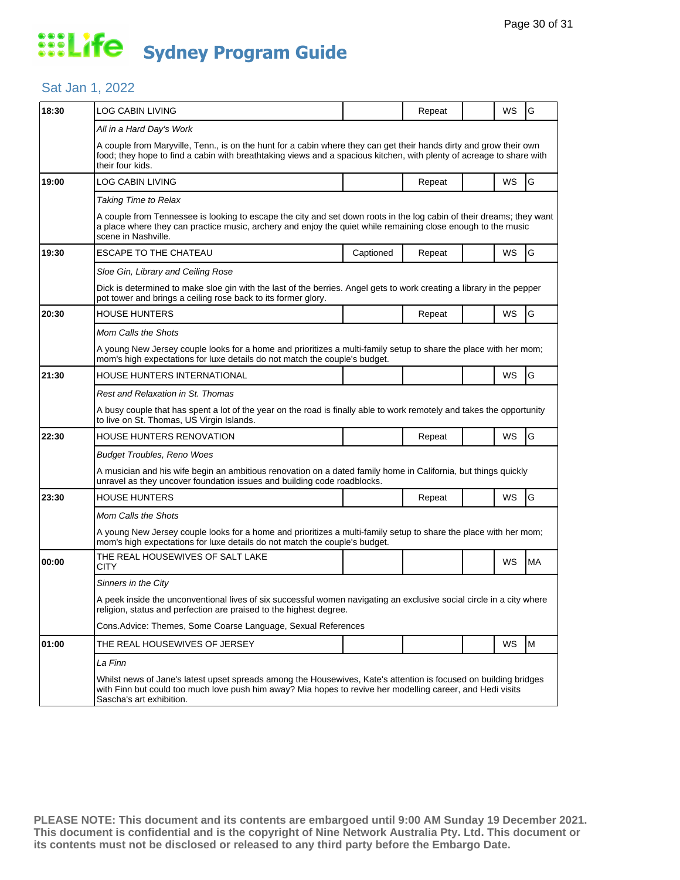### Sat Jan 1, 2022

| 18:30 | LOG CABIN LIVING                                                                                                                                                                                                                                               |           | Repeat |  | WS        | G  |  |  |
|-------|----------------------------------------------------------------------------------------------------------------------------------------------------------------------------------------------------------------------------------------------------------------|-----------|--------|--|-----------|----|--|--|
|       | All in a Hard Day's Work                                                                                                                                                                                                                                       |           |        |  |           |    |  |  |
|       | A couple from Maryville, Tenn., is on the hunt for a cabin where they can get their hands dirty and grow their own<br>food; they hope to find a cabin with breathtaking views and a spacious kitchen, with plenty of acreage to share with<br>their four kids. |           |        |  |           |    |  |  |
| 19:00 | LOG CABIN LIVING                                                                                                                                                                                                                                               |           | Repeat |  | WS        | G  |  |  |
|       | <b>Taking Time to Relax</b>                                                                                                                                                                                                                                    |           |        |  |           |    |  |  |
|       | A couple from Tennessee is looking to escape the city and set down roots in the log cabin of their dreams; they want<br>a place where they can practice music, archery and enjoy the quiet while remaining close enough to the music<br>scene in Nashville.    |           |        |  |           |    |  |  |
| 19:30 | <b>ESCAPE TO THE CHATEAU</b>                                                                                                                                                                                                                                   | Captioned | Repeat |  | WS        | G  |  |  |
|       | Sloe Gin, Library and Ceiling Rose                                                                                                                                                                                                                             |           |        |  |           |    |  |  |
|       | Dick is determined to make sloe gin with the last of the berries. Angel gets to work creating a library in the pepper<br>pot tower and brings a ceiling rose back to its former glory.                                                                         |           |        |  |           |    |  |  |
| 20:30 | <b>HOUSE HUNTERS</b>                                                                                                                                                                                                                                           |           | Repeat |  | WS        | G  |  |  |
|       | Mom Calls the Shots                                                                                                                                                                                                                                            |           |        |  |           |    |  |  |
|       | A young New Jersey couple looks for a home and prioritizes a multi-family setup to share the place with her mom;<br>mom's high expectations for luxe details do not match the couple's budget.                                                                 |           |        |  |           |    |  |  |
| 21:30 | HOUSE HUNTERS INTERNATIONAL                                                                                                                                                                                                                                    |           |        |  | WS        | G  |  |  |
|       | Rest and Relaxation in St. Thomas                                                                                                                                                                                                                              |           |        |  |           |    |  |  |
|       | A busy couple that has spent a lot of the year on the road is finally able to work remotely and takes the opportunity<br>to live on St. Thomas, US Virgin Islands.                                                                                             |           |        |  |           |    |  |  |
| 22:30 | HOUSE HUNTERS RENOVATION                                                                                                                                                                                                                                       |           | Repeat |  | <b>WS</b> | G  |  |  |
|       | <b>Budget Troubles, Reno Woes</b>                                                                                                                                                                                                                              |           |        |  |           |    |  |  |
|       | A musician and his wife begin an ambitious renovation on a dated family home in California, but things quickly<br>unravel as they uncover foundation issues and building code roadblocks.                                                                      |           |        |  |           |    |  |  |
| 23:30 | <b>HOUSE HUNTERS</b>                                                                                                                                                                                                                                           |           | Repeat |  | <b>WS</b> | G  |  |  |
|       | Mom Calls the Shots                                                                                                                                                                                                                                            |           |        |  |           |    |  |  |
|       | A young New Jersey couple looks for a home and prioritizes a multi-family setup to share the place with her mom;<br>mom's high expectations for luxe details do not match the couple's budget.                                                                 |           |        |  |           |    |  |  |
| 00:00 | THE REAL HOUSEWIVES OF SALT LAKE<br>CITY                                                                                                                                                                                                                       |           |        |  | WS        | МA |  |  |
|       | Sinners in the City                                                                                                                                                                                                                                            |           |        |  |           |    |  |  |
|       | A peek inside the unconventional lives of six successful women navigating an exclusive social circle in a city where<br>religion, status and perfection are praised to the highest degree.                                                                     |           |        |  |           |    |  |  |
|       | Cons. Advice: Themes, Some Coarse Language, Sexual References                                                                                                                                                                                                  |           |        |  |           |    |  |  |
| 01:00 | THE REAL HOUSEWIVES OF JERSEY                                                                                                                                                                                                                                  |           |        |  | WS        | M  |  |  |
|       | La Finn                                                                                                                                                                                                                                                        |           |        |  |           |    |  |  |
|       | Whilst news of Jane's latest upset spreads among the Housewives, Kate's attention is focused on building bridges<br>with Finn but could too much love push him away? Mia hopes to revive her modelling career, and Hedi visits<br>Sascha's art exhibition.     |           |        |  |           |    |  |  |